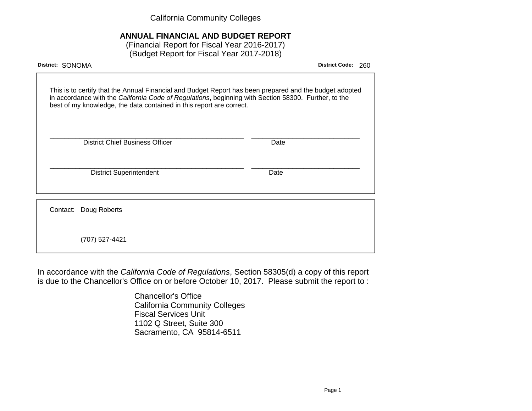California Community Colleges

# **ANNUAL FINANCIAL AND BUDGET REPORT**

(Financial Report for Fiscal Year 2016-2017) (Budget Report for Fiscal Year 2017-2018)

| District: SONOMA                                                                                                                                                                                                                                                                        | <b>District Code:</b> | 260 |
|-----------------------------------------------------------------------------------------------------------------------------------------------------------------------------------------------------------------------------------------------------------------------------------------|-----------------------|-----|
| This is to certify that the Annual Financial and Budget Report has been prepared and the budget adopted<br>in accordance with the California Code of Regulations, beginning with Section 58300. Further, to the<br>best of my knowledge, the data contained in this report are correct. |                       |     |
| <b>District Chief Business Officer</b>                                                                                                                                                                                                                                                  | Date                  |     |
| <b>District Superintendent</b>                                                                                                                                                                                                                                                          | Date                  |     |
| Contact: Doug Roberts                                                                                                                                                                                                                                                                   |                       |     |
| (707) 527-4421                                                                                                                                                                                                                                                                          |                       |     |

In accordance with the California Code of Regulations, Section 58305(d) a copy of this report is due to the Chancellor's Office on or before October 10, 2017. Please submit the report to :

> Chancellor's Office California Community Colleges Fiscal Services Unit 1102 Q Street, Suite 300 Sacramento, CA 95814-6511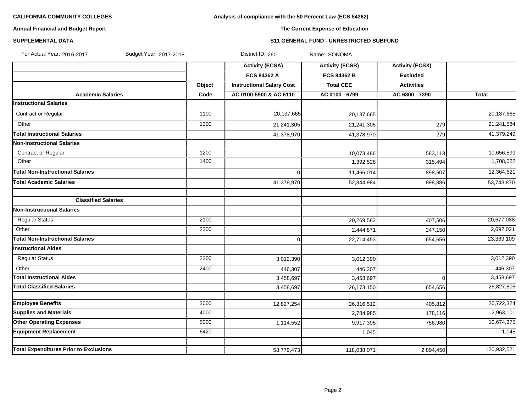# **Analysis of compliance with the 50 Percent Law (ECS 84362)**

# **Annual Financial and Budget Report**

# **The Current Expense of Education**

### **SUPPLEMENTAL DATA S11 GENERAL FUND - UNRESTRICTED SUBFUND**

| For Actual Year: 2016-2017<br>Budget Year: 2017-2018 |        | District ID: 260                 | Name: SONOMA           |                        |             |
|------------------------------------------------------|--------|----------------------------------|------------------------|------------------------|-------------|
|                                                      |        | <b>Activity (ECSA)</b>           | <b>Activity (ECSB)</b> | <b>Activity (ECSX)</b> |             |
|                                                      |        | <b>ECS 84362 A</b>               | <b>ECS 84362 B</b>     | <b>Excluded</b>        |             |
|                                                      | Object | <b>Instructional Salary Cost</b> | <b>Total CEE</b>       | <b>Activities</b>      |             |
| <b>Academic Salaries</b>                             | Code   | AC 0100-5900 & AC 6110           | AC 0100 - 6799         | AC 6800 - 7390         | Total       |
| <b>Instructional Salaries</b>                        |        |                                  |                        |                        |             |
| Contract or Regular                                  | 1100   | 20,137,665                       | 20,137,665             |                        | 20,137,665  |
| Other                                                | 1300   | 21,241,305                       | 21,241,305             | 279                    | 21,241,584  |
| <b>Total Instructional Salaries</b>                  |        | 41,378,970                       | 41,378,970             | 279                    | 41,379,249  |
| <b>Non-Instructional Salaries</b>                    |        |                                  |                        |                        |             |
| Contract or Regular                                  | 1200   |                                  | 10,073,486             | 583,113                | 10,656,599  |
| Other                                                | 1400   |                                  | 1,392,528              | 315,494                | 1,708,022   |
| <b>Total Non-Instructional Salaries</b>              |        | $\Omega$                         | 11,466,014             | 898,607                | 12,364,621  |
| <b>Total Academic Salaries</b>                       |        | 41,378,970                       | 52,844,984             | 898,886                | 53,743,870  |
|                                                      |        |                                  |                        |                        |             |
| <b>Classified Salaries</b>                           |        |                                  |                        |                        |             |
| <b>Non-Instructional Salaries</b>                    |        |                                  |                        |                        |             |
| <b>Regular Status</b>                                | 2100   |                                  | 20,269,582             | 407,506                | 20,677,088  |
| Other                                                | 2300   |                                  | 2,444,871              | 247,150                | 2,692,021   |
| <b>Total Non-Instructional Salaries</b>              |        | 0                                | 22,714,453             | 654,656                | 23,369,109  |
| <b>Instructional Aides</b>                           |        |                                  |                        |                        |             |
| <b>Regular Status</b>                                | 2200   | 3,012,390                        | 3,012,390              |                        | 3,012,390   |
| Other                                                | 2400   | 446,307                          | 446,307                |                        | 446,307     |
| <b>Total Instructional Aides</b>                     |        | 3,458,697                        | 3,458,697              | $\Omega$               | 3,458,697   |
| <b>Total Classified Salaries</b>                     |        | 3,458,697                        | 26,173,150             | 654,656                | 26,827,806  |
|                                                      |        |                                  |                        |                        |             |
| <b>Employee Benefits</b>                             | 3000   | 12,827,254                       | 26,316,512             | 405,812                | 26,722,324  |
| <b>Supplies and Materials</b>                        | 4000   |                                  | 2,784,985              | 178,116                | 2,963,101   |
| <b>Other Operating Expenses</b>                      | 5000   | 1,114,552                        | 9,917,395              | 756,980                | 10,674,375  |
| <b>Equipment Replacement</b>                         | 6420   |                                  | 1,045                  |                        | 1,045       |
| <b>Total Expenditures Prior to Exclusions</b>        |        | 58,779,473                       | 118,038,071            | 2,894,450              | 120,932,521 |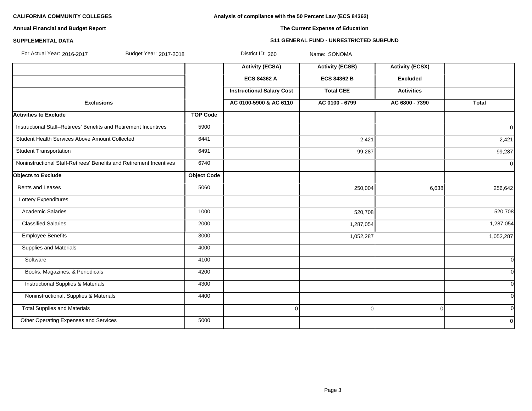**Analysis of compliance with the 50 Percent Law (ECS 84362)**

# **Annual Financial and Budget Report**

# **SUPPLEMENTAL DATA S11 GENERAL FUND - UNRESTRICTED SUBFUND**

**The Current Expense of Education**

For Actual Year: 2016-2017 Budget Year: 2017-2018 District ID: 260 Name: SONOMA

|                                                                     |                    | <b>Activity (ECSA)</b><br><b>ECS 84362 A</b> | <b>Activity (ECSB)</b><br><b>ECS 84362 B</b> | <b>Activity (ECSX)</b><br><b>Excluded</b> |              |
|---------------------------------------------------------------------|--------------------|----------------------------------------------|----------------------------------------------|-------------------------------------------|--------------|
|                                                                     |                    | <b>Instructional Salary Cost</b>             | <b>Total CEE</b>                             | <b>Activities</b>                         |              |
| <b>Exclusions</b>                                                   |                    | AC 0100-5900 & AC 6110                       | AC 0100 - 6799                               | AC 6800 - 7390                            | <b>Total</b> |
| <b>Activities to Exclude</b>                                        | <b>TOP Code</b>    |                                              |                                              |                                           |              |
| Instructional Staff-Retirees' Benefits and Retirement Incentives    | 5900               |                                              |                                              |                                           | $\mathbf 0$  |
| Student Health Services Above Amount Collected                      | 6441               |                                              | 2,421                                        |                                           | 2,421        |
| <b>Student Transportation</b>                                       | 6491               |                                              | 99,287                                       |                                           | 99,287       |
| Noninstructional Staff-Retirees' Benefits and Retirement Incentives | 6740               |                                              |                                              |                                           | $\mathbf 0$  |
| <b>Objects to Exclude</b>                                           | <b>Object Code</b> |                                              |                                              |                                           |              |
| Rents and Leases                                                    | 5060               |                                              | 250,004                                      | 6,638                                     | 256,642      |
| Lottery Expenditures                                                |                    |                                              |                                              |                                           |              |
| <b>Academic Salaries</b>                                            | 1000               |                                              | 520,708                                      |                                           | 520,708      |
| <b>Classified Salaries</b>                                          | 2000               |                                              | 1,287,054                                    |                                           | 1,287,054    |
| <b>Employee Benefits</b>                                            | 3000               |                                              | 1,052,287                                    |                                           | 1,052,287    |
| <b>Supplies and Materials</b>                                       | 4000               |                                              |                                              |                                           |              |
| Software                                                            | 4100               |                                              |                                              |                                           | <sup>0</sup> |
| Books, Magazines, & Periodicals                                     | 4200               |                                              |                                              |                                           | <sub>0</sub> |
| <b>Instructional Supplies &amp; Materials</b>                       | 4300               |                                              |                                              |                                           | 0l           |
| Noninstructional, Supplies & Materials                              | 4400               |                                              |                                              |                                           | <sub>0</sub> |
| <b>Total Supplies and Materials</b>                                 |                    | $\Omega$                                     | $\Omega$                                     | $\Omega$                                  | <sup>0</sup> |
| Other Operating Expenses and Services                               | 5000               |                                              |                                              |                                           | $\mathbf{0}$ |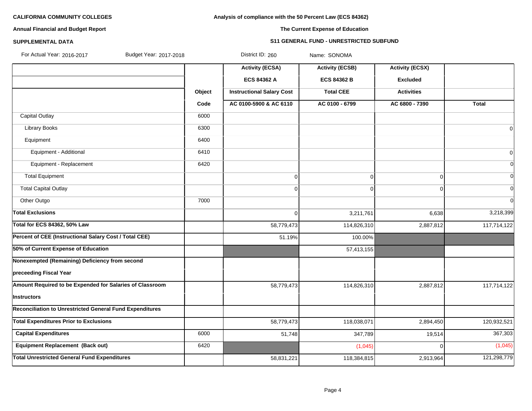# **Analysis of compliance with the 50 Percent Law (ECS 84362)**

# **Annual Financial and Budget Report**

# **The Current Expense of Education**

#### **SUPPLEMENTAL DATA S11 GENERAL FUND - UNRESTRICTED SUBFUND**

| For Actual Year: 2016-2017<br>Budget Year: 2017-2018            |        | District ID: 260                 | Name: SONOMA           |                        |                |
|-----------------------------------------------------------------|--------|----------------------------------|------------------------|------------------------|----------------|
|                                                                 |        | <b>Activity (ECSA)</b>           | <b>Activity (ECSB)</b> | <b>Activity (ECSX)</b> |                |
|                                                                 |        | <b>ECS 84362 A</b>               | <b>ECS 84362 B</b>     | <b>Excluded</b>        |                |
|                                                                 | Object | <b>Instructional Salary Cost</b> | <b>Total CEE</b>       | <b>Activities</b>      |                |
|                                                                 | Code   | AC 0100-5900 & AC 6110           | AC 0100 - 6799         | AC 6800 - 7390         | Total          |
| <b>Capital Outlay</b>                                           | 6000   |                                  |                        |                        |                |
| <b>Library Books</b>                                            | 6300   |                                  |                        |                        | $\overline{0}$ |
| Equipment                                                       | 6400   |                                  |                        |                        |                |
| Equipment - Additional                                          | 6410   |                                  |                        |                        | $\overline{0}$ |
| Equipment - Replacement                                         | 6420   |                                  |                        |                        | $\overline{0}$ |
| <b>Total Equipment</b>                                          |        | $\mathbf 0$                      | $\overline{0}$         | $\Omega$               | $\Omega$       |
| <b>Total Capital Outlay</b>                                     |        | $\mathbf 0$                      | 0                      | $\overline{0}$         | $\overline{0}$ |
| Other Outgo                                                     | 7000   |                                  |                        |                        | $\overline{0}$ |
| <b>Total Exclusions</b>                                         |        | $\mathbf 0$                      | 3,211,761              | 6,638                  | 3,218,399      |
| Total for ECS 84362, 50% Law                                    |        | 58,779,473                       | 114,826,310            | 2,887,812              | 117,714,122    |
| Percent of CEE (Instructional Salary Cost / Total CEE)          |        | 51.19%                           | 100.00%                |                        |                |
| 50% of Current Expense of Education                             |        |                                  | 57,413,155             |                        |                |
| Nonexempted (Remaining) Deficiency from second                  |        |                                  |                        |                        |                |
| preceeding Fiscal Year                                          |        |                                  |                        |                        |                |
| Amount Required to be Expended for Salaries of Classroom        |        | 58,779,473                       | 114,826,310            | 2,887,812              | 117,714,122    |
| <b>Instructors</b>                                              |        |                                  |                        |                        |                |
| <b>Reconciliation to Unrestricted General Fund Expenditures</b> |        |                                  |                        |                        |                |
| <b>Total Expenditures Prior to Exclusions</b>                   |        | 58,779,473                       | 118,038,071            | 2,894,450              | 120,932,521    |
| <b>Capital Expenditures</b>                                     | 6000   | 51,748                           | 347,789                | 19,514                 | 367,303        |
| Equipment Replacement (Back out)                                | 6420   |                                  | (1,045)                | $\Omega$               | (1,045)        |
| <b>Total Unrestricted General Fund Expenditures</b>             |        | 58,831,221                       | 118,384,815            | 2,913,964              | 121,298,779    |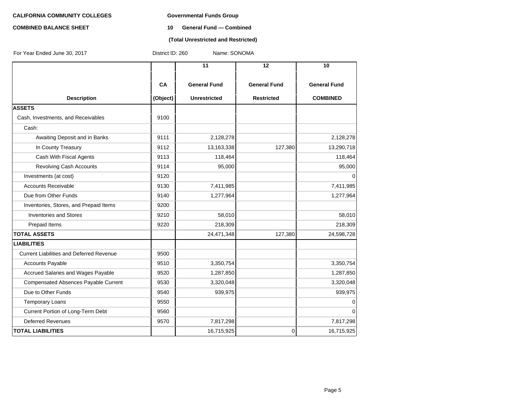# **COMBINED BALANCE SHEET 10 General Fund — Combined**

#### **(Total Unrestricted and Restricted)**

| For Year Ended June 30, 2017                    | District ID: 260 | Name: SONOMA        |                     |                     |
|-------------------------------------------------|------------------|---------------------|---------------------|---------------------|
|                                                 |                  | $\overline{11}$     | 12                  | 10                  |
|                                                 | CA               | <b>General Fund</b> | <b>General Fund</b> | <b>General Fund</b> |
| <b>Description</b>                              | (Object)         | <b>Unrestricted</b> | <b>Restricted</b>   | <b>COMBINED</b>     |
| <b>ASSETS</b>                                   |                  |                     |                     |                     |
| Cash, Investments, and Receivables              | 9100             |                     |                     |                     |
| Cash:                                           |                  |                     |                     |                     |
| Awaiting Deposit and in Banks                   | 9111             | 2,128,278           |                     | 2,128,278           |
| In County Treasury                              | 9112             | 13,163,338          | 127,380             | 13,290,718          |
| Cash With Fiscal Agents                         | 9113             | 118,464             |                     | 118,464             |
| <b>Revolving Cash Accounts</b>                  | 9114             | 95,000              |                     | 95,000              |
| Investments (at cost)                           | 9120             |                     |                     | 0                   |
| <b>Accounts Receivable</b>                      | 9130             | 7,411,985           |                     | 7,411,985           |
| Due from Other Funds                            | 9140             | 1,277,964           |                     | 1,277,964           |
| Inventories, Stores, and Prepaid Items          | 9200             |                     |                     |                     |
| <b>Inventories and Stores</b>                   | 9210             | 58,010              |                     | 58,010              |
| Prepaid Items                                   | 9220             | 218,309             |                     | 218,309             |
| <b>TOTAL ASSETS</b>                             |                  | 24,471,348          | 127,380             | 24,598,728          |
| <b>LIABILITIES</b>                              |                  |                     |                     |                     |
| <b>Current Liabilities and Deferred Revenue</b> | 9500             |                     |                     |                     |
| <b>Accounts Payable</b>                         | 9510             | 3,350,754           |                     | 3,350,754           |
| Accrued Salaries and Wages Payable              | 9520             | 1,287,850           |                     | 1,287,850           |
| Compensated Absences Payable Current            | 9530             | 3,320,048           |                     | 3,320,048           |
| Due to Other Funds                              | 9540             | 939,975             |                     | 939,975             |
| <b>Temporary Loans</b>                          | 9550             |                     |                     | 0                   |
| Current Portion of Long-Term Debt               | 9560             |                     |                     | 0                   |
| <b>Deferred Revenues</b>                        | 9570             | 7,817,298           |                     | 7,817,298           |
| <b>TOTAL LIABILITIES</b>                        |                  | 16,715,925          | 0                   | 16,715,925          |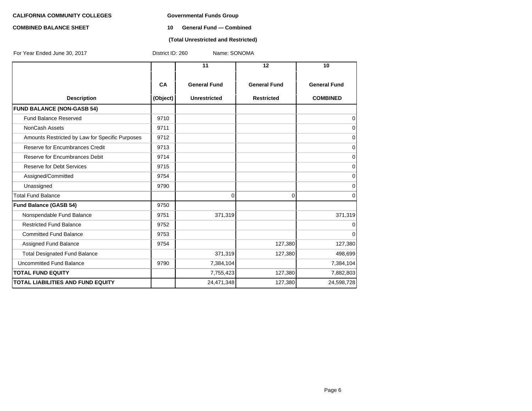# **COMBINED BALANCE SHEET 10 General Fund — Combined**

### **(Total Unrestricted and Restricted)**

| For Year Ended June 30, 2017                    | District ID: 260<br>Name: SONOMA |                     |                     |                     |  |  |  |
|-------------------------------------------------|----------------------------------|---------------------|---------------------|---------------------|--|--|--|
|                                                 |                                  | 11                  | 12                  | 10                  |  |  |  |
|                                                 | CA                               | <b>General Fund</b> | <b>General Fund</b> | <b>General Fund</b> |  |  |  |
| <b>Description</b>                              | (Object)                         | <b>Unrestricted</b> | <b>Restricted</b>   | <b>COMBINED</b>     |  |  |  |
| <b>FUND BALANCE (NON-GASB 54)</b>               |                                  |                     |                     |                     |  |  |  |
| Fund Balance Reserved                           | 9710                             |                     |                     | 0                   |  |  |  |
| <b>NonCash Assets</b>                           | 9711                             |                     |                     | $\mathbf 0$         |  |  |  |
| Amounts Restricted by Law for Specific Purposes | 9712                             |                     |                     | $\mathbf 0$         |  |  |  |
| Reserve for Encumbrances Credit                 | 9713                             |                     |                     | 0                   |  |  |  |
| Reserve for Encumbrances Debit                  | 9714                             |                     |                     | $\mathbf 0$         |  |  |  |
| <b>Reserve for Debt Services</b>                | 9715                             |                     |                     | 0                   |  |  |  |
| Assigned/Committed                              | 9754                             |                     |                     | $\mathbf 0$         |  |  |  |
| Unassigned                                      | 9790                             |                     |                     | 0                   |  |  |  |
| <b>Total Fund Balance</b>                       |                                  | 0                   | $\overline{0}$      | 0                   |  |  |  |
| <b>Fund Balance (GASB 54)</b>                   | 9750                             |                     |                     |                     |  |  |  |
| Nonspendable Fund Balance                       | 9751                             | 371,319             |                     | 371,319             |  |  |  |
| <b>Restricted Fund Balance</b>                  | 9752                             |                     |                     | 0                   |  |  |  |
| <b>Committed Fund Balance</b>                   | 9753                             |                     |                     | $\mathbf 0$         |  |  |  |
| Assigned Fund Balance                           | 9754                             |                     | 127,380             | 127,380             |  |  |  |
| <b>Total Designated Fund Balance</b>            |                                  | 371,319             | 127,380             | 498,699             |  |  |  |
| Uncommitted Fund Balance                        | 9790                             | 7,384,104           |                     | 7,384,104           |  |  |  |
| <b>TOTAL FUND EQUITY</b>                        |                                  | 7,755,423           | 127,380             | 7,882,803           |  |  |  |
| <b>TOTAL LIABILITIES AND FUND EQUITY</b>        |                                  | 24,471,348          | 127,380             | 24,598,728          |  |  |  |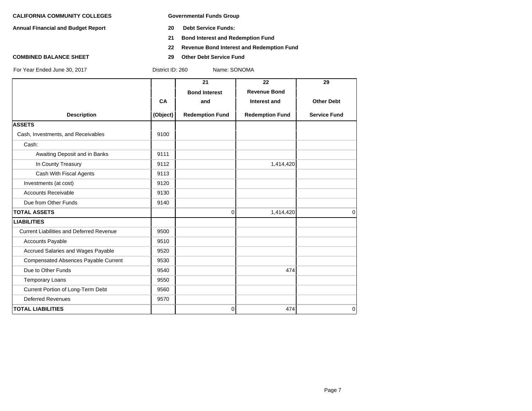**Annual Financial and Budget Report 20 Debt Service Funds:**

- 
- **21 Bond Interest and Redemption Fund**
- **22 Revenue Bond Interest and Redemption Fund**
- **COMBINED BALANCE SHEET 29 Other Debt Service Fund**

| For Year Ended June 30, 2017                    | District ID: 260<br>Name: SONOMA |                        |                        |                     |  |  |  |
|-------------------------------------------------|----------------------------------|------------------------|------------------------|---------------------|--|--|--|
|                                                 |                                  | 21                     | 22                     | 29                  |  |  |  |
|                                                 |                                  | <b>Bond Interest</b>   | <b>Revenue Bond</b>    |                     |  |  |  |
|                                                 | CA                               | and                    | Interest and           | <b>Other Debt</b>   |  |  |  |
| <b>Description</b>                              | (Object)                         | <b>Redemption Fund</b> | <b>Redemption Fund</b> | <b>Service Fund</b> |  |  |  |
| <b>ASSETS</b>                                   |                                  |                        |                        |                     |  |  |  |
| Cash, Investments, and Receivables              | 9100                             |                        |                        |                     |  |  |  |
| Cash:                                           |                                  |                        |                        |                     |  |  |  |
| Awaiting Deposit and in Banks                   | 9111                             |                        |                        |                     |  |  |  |
| In County Treasury                              | 9112                             |                        | 1,414,420              |                     |  |  |  |
| Cash With Fiscal Agents                         | 9113                             |                        |                        |                     |  |  |  |
| Investments (at cost)                           | 9120                             |                        |                        |                     |  |  |  |
| <b>Accounts Receivable</b>                      | 9130                             |                        |                        |                     |  |  |  |
| Due from Other Funds                            | 9140                             |                        |                        |                     |  |  |  |
| <b>TOTAL ASSETS</b>                             |                                  | 0                      | 1,414,420              | $\mathbf 0$         |  |  |  |
| <b>LIABILITIES</b>                              |                                  |                        |                        |                     |  |  |  |
| <b>Current Liabilities and Deferred Revenue</b> | 9500                             |                        |                        |                     |  |  |  |
| <b>Accounts Payable</b>                         | 9510                             |                        |                        |                     |  |  |  |
| Accrued Salaries and Wages Payable              | 9520                             |                        |                        |                     |  |  |  |
| Compensated Absences Payable Current            | 9530                             |                        |                        |                     |  |  |  |
| Due to Other Funds                              | 9540                             |                        | 474                    |                     |  |  |  |
| <b>Temporary Loans</b>                          | 9550                             |                        |                        |                     |  |  |  |
| Current Portion of Long-Term Debt               | 9560                             |                        |                        |                     |  |  |  |
| <b>Deferred Revenues</b>                        | 9570                             |                        |                        |                     |  |  |  |
| <b>TOTAL LIABILITIES</b>                        |                                  | $\overline{0}$         | 474                    | $\mathbf 0$         |  |  |  |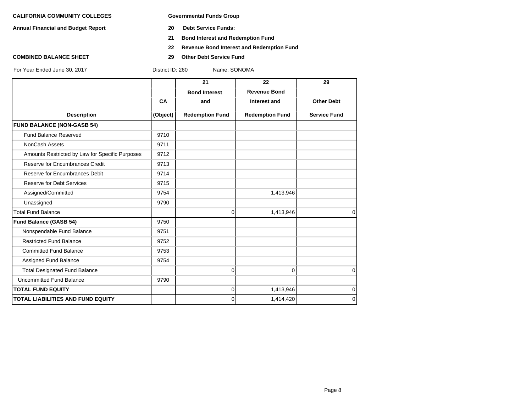**Annual Financial and Budget Report 20 Debt Service Funds:**

- 
- **21 Bond Interest and Redemption Fund**
- **22 Revenue Bond Interest and Redemption Fund**
- **COMBINED BALANCE SHEET 29 Other Debt Service Fund**

|                                                 |          | 21                     | 22                     | 29                  |
|-------------------------------------------------|----------|------------------------|------------------------|---------------------|
|                                                 |          | <b>Bond Interest</b>   | <b>Revenue Bond</b>    |                     |
|                                                 | CA       | and                    | Interest and           | <b>Other Debt</b>   |
| <b>Description</b>                              | (Object) | <b>Redemption Fund</b> | <b>Redemption Fund</b> | <b>Service Fund</b> |
| <b>FUND BALANCE (NON-GASB 54)</b>               |          |                        |                        |                     |
| <b>Fund Balance Reserved</b>                    | 9710     |                        |                        |                     |
| <b>NonCash Assets</b>                           | 9711     |                        |                        |                     |
| Amounts Restricted by Law for Specific Purposes | 9712     |                        |                        |                     |
| Reserve for Encumbrances Credit                 | 9713     |                        |                        |                     |
| Reserve for Encumbrances Debit                  | 9714     |                        |                        |                     |
| <b>Reserve for Debt Services</b>                | 9715     |                        |                        |                     |
| Assigned/Committed                              | 9754     |                        | 1,413,946              |                     |
| Unassigned                                      | 9790     |                        |                        |                     |
| <b>Total Fund Balance</b>                       |          | 0                      | 1,413,946              | $\Omega$            |
| <b>Fund Balance (GASB 54)</b>                   | 9750     |                        |                        |                     |
| Nonspendable Fund Balance                       | 9751     |                        |                        |                     |
| <b>Restricted Fund Balance</b>                  | 9752     |                        |                        |                     |
| <b>Committed Fund Balance</b>                   | 9753     |                        |                        |                     |
| Assigned Fund Balance                           | 9754     |                        |                        |                     |
| <b>Total Designated Fund Balance</b>            |          | 0                      | $\Omega$               | $\Omega$            |
| Uncommitted Fund Balance                        | 9790     |                        |                        |                     |
| <b>TOTAL FUND EQUITY</b>                        |          | 0                      | 1,413,946              | $\mathbf 0$         |
| <b>TOTAL LIABILITIES AND FUND EQUITY</b>        |          | $\Omega$               | 1,414,420              | $\mathbf 0$         |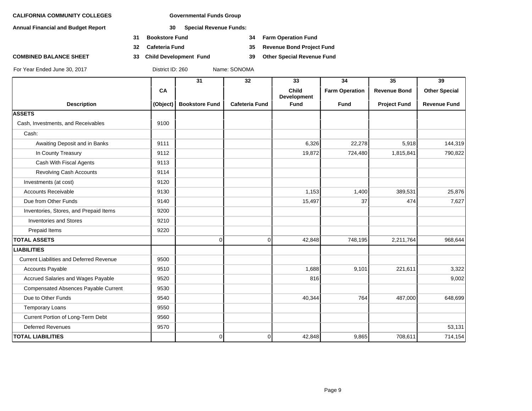**Annual Financial and Budget Report 30 Special Revenue Funds:**

- **31 Bookstore Fund 34 Farm Operation Fund**
- 
- **COMBINED BALANCE SHEET 33 Child Development Fund 39 Other Special Revenue Fund**

**32 Cafeteria Fund 35 Revenue Bond Project Fund**

|                                                 |          | 31                    | 32                    | 33                                 | 34                    | 35                  | 39                   |
|-------------------------------------------------|----------|-----------------------|-----------------------|------------------------------------|-----------------------|---------------------|----------------------|
|                                                 | CA       |                       |                       | <b>Child</b><br><b>Development</b> | <b>Farm Operation</b> | <b>Revenue Bond</b> | <b>Other Special</b> |
| <b>Description</b>                              | (Object) | <b>Bookstore Fund</b> | <b>Cafeteria Fund</b> | <b>Fund</b>                        | <b>Fund</b>           | <b>Project Fund</b> | <b>Revenue Fund</b>  |
| <b>ASSETS</b>                                   |          |                       |                       |                                    |                       |                     |                      |
| Cash, Investments, and Receivables              | 9100     |                       |                       |                                    |                       |                     |                      |
| Cash:                                           |          |                       |                       |                                    |                       |                     |                      |
| Awaiting Deposit and in Banks                   | 9111     |                       |                       | 6,326                              | 22,278                | 5,918               | 144,319              |
| In County Treasury                              | 9112     |                       |                       | 19,872                             | 724,480               | 1,815,841           | 790,822              |
| Cash With Fiscal Agents                         | 9113     |                       |                       |                                    |                       |                     |                      |
| Revolving Cash Accounts                         | 9114     |                       |                       |                                    |                       |                     |                      |
| Investments (at cost)                           | 9120     |                       |                       |                                    |                       |                     |                      |
| <b>Accounts Receivable</b>                      | 9130     |                       |                       | 1,153                              | 1,400                 | 389,531             | 25,876               |
| Due from Other Funds                            | 9140     |                       |                       | 15,497                             | 37                    | 474                 | 7,627                |
| Inventories, Stores, and Prepaid Items          | 9200     |                       |                       |                                    |                       |                     |                      |
| <b>Inventories and Stores</b>                   | 9210     |                       |                       |                                    |                       |                     |                      |
| Prepaid Items                                   | 9220     |                       |                       |                                    |                       |                     |                      |
| <b>TOTAL ASSETS</b>                             |          | $\overline{0}$        | $\overline{0}$        | 42,848                             | 748,195               | 2,211,764           | 968,644              |
| <b>LIABILITIES</b>                              |          |                       |                       |                                    |                       |                     |                      |
| <b>Current Liabilities and Deferred Revenue</b> | 9500     |                       |                       |                                    |                       |                     |                      |
| Accounts Payable                                | 9510     |                       |                       | 1,688                              | 9,101                 | 221,611             | 3,322                |
| Accrued Salaries and Wages Payable              | 9520     |                       |                       | 816                                |                       |                     | 9,002                |
| Compensated Absences Payable Current            | 9530     |                       |                       |                                    |                       |                     |                      |
| Due to Other Funds                              | 9540     |                       |                       | 40,344                             | 764                   | 487,000             | 648,699              |
| <b>Temporary Loans</b>                          | 9550     |                       |                       |                                    |                       |                     |                      |
| Current Portion of Long-Term Debt               | 9560     |                       |                       |                                    |                       |                     |                      |
| <b>Deferred Revenues</b>                        | 9570     |                       |                       |                                    |                       |                     | 53,131               |
| <b>TOTAL LIABILITIES</b>                        |          | $\overline{0}$        | $\overline{0}$        | 42,848                             | 9,865                 | 708,611             | 714,154              |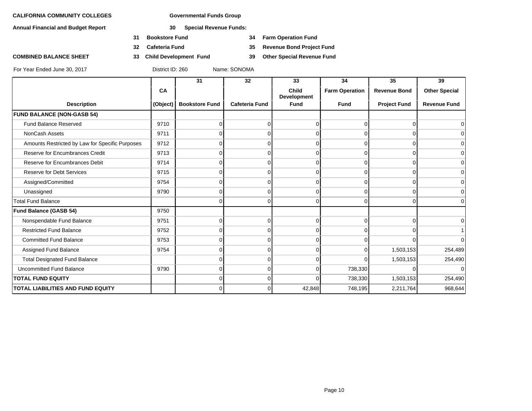**Annual Financial and Budget Report 30 Special Revenue Funds:**

- **31 Bookstore Fund 34 Farm Operation Fund**
- **32 Cafeteria Fund 35 Revenue Bond Project Fund**
- **COMBINED BALANCE SHEET 33 Child Development Fund 39 Other Special Revenue Fund**

|                                                 |          | 31                    | 32                    | 33                          | 34                    | 35                  | 39                   |
|-------------------------------------------------|----------|-----------------------|-----------------------|-----------------------------|-----------------------|---------------------|----------------------|
|                                                 | CA       |                       |                       | <b>Child</b><br>Development | <b>Farm Operation</b> | <b>Revenue Bond</b> | <b>Other Special</b> |
| <b>Description</b>                              | (Object) | <b>Bookstore Fund</b> | <b>Cafeteria Fund</b> | <b>Fund</b>                 | <b>Fund</b>           | <b>Project Fund</b> | <b>Revenue Fund</b>  |
| <b>FUND BALANCE (NON-GASB 54)</b>               |          |                       |                       |                             |                       |                     |                      |
| <b>Fund Balance Reserved</b>                    | 9710     |                       | $\Omega$              | 0                           |                       | 0                   |                      |
| NonCash Assets                                  | 9711     |                       | $\Omega$              | $\Omega$                    |                       | U                   | ∩                    |
| Amounts Restricted by Law for Specific Purposes | 9712     | $\Omega$              | $\overline{0}$        | $\Omega$                    | O                     | $\Omega$            | ∩                    |
| Reserve for Encumbrances Credit                 | 9713     |                       | $\Omega$              | $\Omega$                    | $\Omega$              | $\Omega$            |                      |
| Reserve for Encumbrances Debit                  | 9714     |                       | $\Omega$              | 0                           |                       | O                   | ∩                    |
| <b>Reserve for Debt Services</b>                | 9715     | 0                     | $\Omega$              | $\Omega$                    | 0                     | $\Omega$            | ∩                    |
| Assigned/Committed                              | 9754     | U                     | $\Omega$              | $\Omega$                    | $\Omega$              | $\Omega$            |                      |
| Unassigned                                      | 9790     |                       | $\Omega$              | O                           |                       |                     | ∩                    |
| <b>Total Fund Balance</b>                       |          | 0                     | $\Omega$              | $\Omega$                    | $\Omega$              | $\Omega$            | $\Omega$             |
| <b>Fund Balance (GASB 54)</b>                   | 9750     |                       |                       |                             |                       |                     |                      |
| Nonspendable Fund Balance                       | 9751     |                       | $\Omega$              | $\Omega$                    |                       | $\Omega$            | ∩                    |
| <b>Restricted Fund Balance</b>                  | 9752     |                       | $\Omega$              | $\Omega$                    | <sup>n</sup>          | O                   |                      |
| <b>Committed Fund Balance</b>                   | 9753     | $\Omega$              | $\Omega$              | $\Omega$                    | U                     | $\Omega$            | $\Omega$             |
| Assigned Fund Balance                           | 9754     |                       | $\Omega$              | 0                           |                       | 1,503,153           | 254,489              |
| <b>Total Designated Fund Balance</b>            |          |                       | $\Omega$              | $\Omega$                    |                       | 1,503,153           | 254,490              |
| Uncommitted Fund Balance                        | 9790     | $\Omega$              | $\Omega$              | $\Omega$                    | 738,330               | U                   | $\Omega$             |
| <b>TOTAL FUND EQUITY</b>                        |          | 0                     | $\overline{0}$        | 0                           | 738,330               | 1,503,153           | 254,490              |
| TOTAL LIABILITIES AND FUND EQUITY               |          | $\Omega$              | $\Omega$              | 42,848                      | 748,195               | 2,211,764           | 968,644              |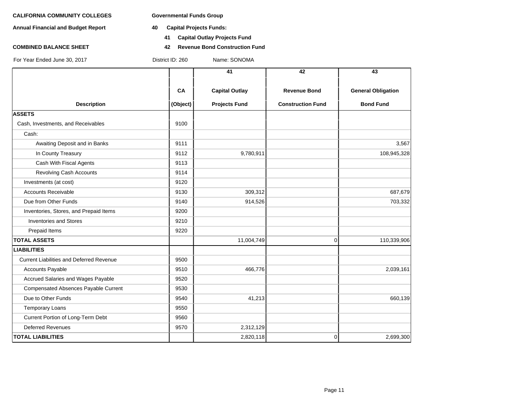**Annual Financial and Budget Report 40 Capital Projects Funds:**

- - **41 Capital Outlay Projects Fund**
- **COMBINED BALANCE SHEET 42 Revenue Bond Construction Fund**

|                                                 |          | 41                    | 42                       | 43                        |
|-------------------------------------------------|----------|-----------------------|--------------------------|---------------------------|
|                                                 |          |                       |                          |                           |
|                                                 | CA       | <b>Capital Outlay</b> | <b>Revenue Bond</b>      | <b>General Obligation</b> |
| <b>Description</b>                              | (Object) | <b>Projects Fund</b>  | <b>Construction Fund</b> | <b>Bond Fund</b>          |
| <b>ASSETS</b>                                   |          |                       |                          |                           |
| Cash, Investments, and Receivables              | 9100     |                       |                          |                           |
| Cash:                                           |          |                       |                          |                           |
| Awaiting Deposit and in Banks                   | 9111     |                       |                          | 3,567                     |
| In County Treasury                              | 9112     | 9,780,911             |                          | 108,945,328               |
| Cash With Fiscal Agents                         | 9113     |                       |                          |                           |
| <b>Revolving Cash Accounts</b>                  | 9114     |                       |                          |                           |
| Investments (at cost)                           | 9120     |                       |                          |                           |
| <b>Accounts Receivable</b>                      | 9130     | 309,312               |                          | 687,679                   |
| Due from Other Funds                            | 9140     | 914,526               |                          | 703,332                   |
| Inventories, Stores, and Prepaid Items          | 9200     |                       |                          |                           |
| <b>Inventories and Stores</b>                   | 9210     |                       |                          |                           |
| Prepaid Items                                   | 9220     |                       |                          |                           |
| <b>TOTAL ASSETS</b>                             |          | 11,004,749            | 0                        | 110,339,906               |
| <b>LIABILITIES</b>                              |          |                       |                          |                           |
| <b>Current Liabilities and Deferred Revenue</b> | 9500     |                       |                          |                           |
| <b>Accounts Payable</b>                         | 9510     | 466,776               |                          | 2,039,161                 |
| Accrued Salaries and Wages Payable              | 9520     |                       |                          |                           |
| Compensated Absences Payable Current            | 9530     |                       |                          |                           |
| Due to Other Funds                              | 9540     | 41,213                |                          | 660,139                   |
| <b>Temporary Loans</b>                          | 9550     |                       |                          |                           |
| Current Portion of Long-Term Debt               | 9560     |                       |                          |                           |
| Deferred Revenues                               | 9570     | 2,312,129             |                          |                           |
| <b>TOTAL LIABILITIES</b>                        |          | 2,820,118             | 0                        | 2,699,300                 |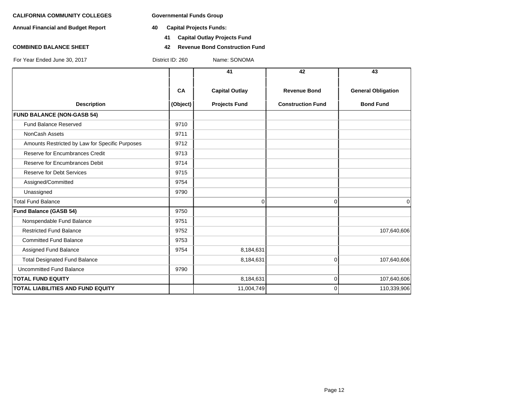**Annual Financial and Budget Report 40 Capital Projects Funds:**

- - **41 Capital Outlay Projects Fund**
- **COMBINED BALANCE SHEET 42 Revenue Bond Construction Fund**

|                                                 |          | 41                    | 42                       | 43                        |
|-------------------------------------------------|----------|-----------------------|--------------------------|---------------------------|
|                                                 | CA       | <b>Capital Outlay</b> | <b>Revenue Bond</b>      | <b>General Obligation</b> |
| <b>Description</b>                              | (Object) | <b>Projects Fund</b>  | <b>Construction Fund</b> | <b>Bond Fund</b>          |
| <b>FUND BALANCE (NON-GASB 54)</b>               |          |                       |                          |                           |
| Fund Balance Reserved                           | 9710     |                       |                          |                           |
| NonCash Assets                                  | 9711     |                       |                          |                           |
| Amounts Restricted by Law for Specific Purposes | 9712     |                       |                          |                           |
| Reserve for Encumbrances Credit                 | 9713     |                       |                          |                           |
| Reserve for Encumbrances Debit                  | 9714     |                       |                          |                           |
| <b>Reserve for Debt Services</b>                | 9715     |                       |                          |                           |
| Assigned/Committed                              | 9754     |                       |                          |                           |
| Unassigned                                      | 9790     |                       |                          |                           |
| <b>Total Fund Balance</b>                       |          | $\Omega$              | $\Omega$                 | $\mathbf 0$               |
| <b>Fund Balance (GASB 54)</b>                   | 9750     |                       |                          |                           |
| Nonspendable Fund Balance                       | 9751     |                       |                          |                           |
| <b>Restricted Fund Balance</b>                  | 9752     |                       |                          | 107,640,606               |
| <b>Committed Fund Balance</b>                   | 9753     |                       |                          |                           |
| Assigned Fund Balance                           | 9754     | 8,184,631             |                          |                           |
| <b>Total Designated Fund Balance</b>            |          | 8,184,631             | $\Omega$                 | 107,640,606               |
| Uncommitted Fund Balance                        | 9790     |                       |                          |                           |
| <b>TOTAL FUND EQUITY</b>                        |          | 8,184,631             | $\Omega$                 | 107,640,606               |
| <b>TOTAL LIABILITIES AND FUND EQUITY</b>        |          | 11,004,749            | $\Omega$                 | 110,339,906               |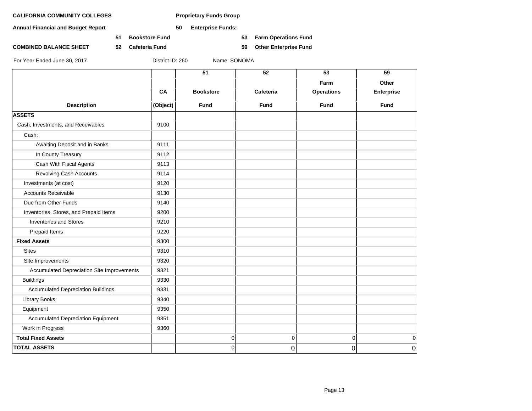**Annual Financial and Budget Report 50 Enterprise Funds:**

**51 Bookstore Fund 53 Farm Operations Fund**

**COMBINED BALANCE SHEET 52 Cafeteria Fund 59 Other Enterprise Fund**

|                                            |          | 51               | 52          | 53                | 59                |
|--------------------------------------------|----------|------------------|-------------|-------------------|-------------------|
|                                            |          |                  |             | Farm              | Other             |
|                                            | CA       | <b>Bookstore</b> | Cafeteria   | <b>Operations</b> | <b>Enterprise</b> |
| <b>Description</b>                         | (Object) | Fund             | <b>Fund</b> | Fund              | Fund              |
| <b>ASSETS</b>                              |          |                  |             |                   |                   |
| Cash, Investments, and Receivables         | 9100     |                  |             |                   |                   |
| Cash:                                      |          |                  |             |                   |                   |
| Awaiting Deposit and in Banks              | 9111     |                  |             |                   |                   |
| In County Treasury                         | 9112     |                  |             |                   |                   |
| Cash With Fiscal Agents                    | 9113     |                  |             |                   |                   |
| Revolving Cash Accounts                    | 9114     |                  |             |                   |                   |
| Investments (at cost)                      | 9120     |                  |             |                   |                   |
| <b>Accounts Receivable</b>                 | 9130     |                  |             |                   |                   |
| Due from Other Funds                       | 9140     |                  |             |                   |                   |
| Inventories, Stores, and Prepaid Items     | 9200     |                  |             |                   |                   |
| <b>Inventories and Stores</b>              | 9210     |                  |             |                   |                   |
| Prepaid Items                              | 9220     |                  |             |                   |                   |
| <b>Fixed Assets</b>                        | 9300     |                  |             |                   |                   |
| <b>Sites</b>                               | 9310     |                  |             |                   |                   |
| Site Improvements                          | 9320     |                  |             |                   |                   |
| Accumulated Depreciation Site Improvements | 9321     |                  |             |                   |                   |
| <b>Buildings</b>                           | 9330     |                  |             |                   |                   |
| <b>Accumulated Depreciation Buildings</b>  | 9331     |                  |             |                   |                   |
| <b>Library Books</b>                       | 9340     |                  |             |                   |                   |
| Equipment                                  | 9350     |                  |             |                   |                   |
| <b>Accumulated Depreciation Equipment</b>  | 9351     |                  |             |                   |                   |
| Work in Progress                           | 9360     |                  |             |                   |                   |
| <b>Total Fixed Assets</b>                  |          | 0                | 0           | 0                 | $\overline{0}$    |
| <b>TOTAL ASSETS</b>                        |          | $\Omega$         | 0           | 0                 | 0                 |
|                                            |          |                  |             |                   |                   |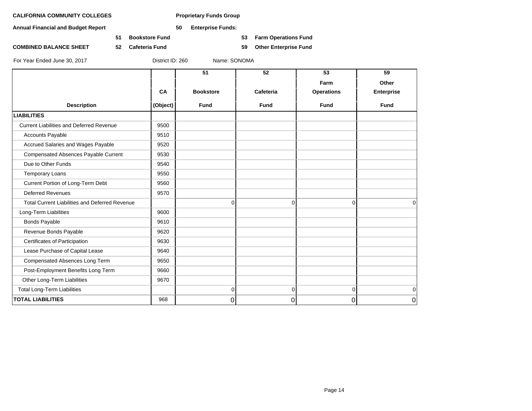**Annual Financial and Budget Report 50 Enterprise Funds:**

**51 Bookstore Fund 53 Farm Operations Fund**

**COMBINED BALANCE SHEET 52 Cafeteria Fund 59 Other Enterprise Fund**

|                                                       |           | 51               | 52          | 53                | 59                |
|-------------------------------------------------------|-----------|------------------|-------------|-------------------|-------------------|
|                                                       |           |                  |             | Farm              | Other             |
|                                                       | <b>CA</b> | <b>Bookstore</b> | Cafeteria   | <b>Operations</b> | <b>Enterprise</b> |
| <b>Description</b>                                    | (Object)  | <b>Fund</b>      | <b>Fund</b> | <b>Fund</b>       | <b>Fund</b>       |
| <b>LIABILITIES</b>                                    |           |                  |             |                   |                   |
| <b>Current Liabilities and Deferred Revenue</b>       | 9500      |                  |             |                   |                   |
| <b>Accounts Payable</b>                               | 9510      |                  |             |                   |                   |
| Accrued Salaries and Wages Payable                    | 9520      |                  |             |                   |                   |
| Compensated Absences Payable Current                  | 9530      |                  |             |                   |                   |
| Due to Other Funds                                    | 9540      |                  |             |                   |                   |
| <b>Temporary Loans</b>                                | 9550      |                  |             |                   |                   |
| Current Portion of Long-Term Debt                     | 9560      |                  |             |                   |                   |
| <b>Deferred Revenues</b>                              | 9570      |                  |             |                   |                   |
| <b>Total Current Liabilities and Deferred Revenue</b> |           | $\Omega$         | $\Omega$    | $\Omega$          | $\Omega$          |
| Long-Term Liabilities                                 | 9600      |                  |             |                   |                   |
| <b>Bonds Payable</b>                                  | 9610      |                  |             |                   |                   |
| Revenue Bonds Payable                                 | 9620      |                  |             |                   |                   |
| Certificates of Participation                         | 9630      |                  |             |                   |                   |
| Lease Purchase of Capital Lease                       | 9640      |                  |             |                   |                   |
| Compensated Absences Long Term                        | 9650      |                  |             |                   |                   |
| Post-Employment Benefits Long Term                    | 9660      |                  |             |                   |                   |
| Other Long-Term Liabilities                           | 9670      |                  |             |                   |                   |
| <b>Total Long-Term Liabilities</b>                    |           | $\mathbf 0$      | $\Omega$    | $\Omega$          | $\mathbf 0$       |
| <b>TOTAL LIABILITIES</b>                              | 968       | 0                | 0           | 0                 | 0                 |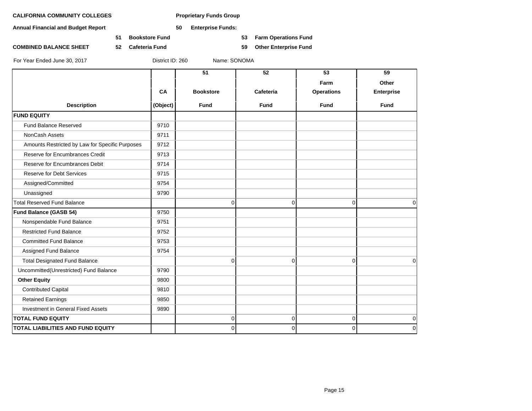**Annual Financial and Budget Report 50 Enterprise Funds:**

**COMBINED BALANCE SHEET 52 Cafeteria Fund 59 Other Enterprise Fund**

**51 Bookstore Fund 53 Farm Operations Fund**

| Farm<br>Other<br>CA<br><b>Operations</b><br><b>Bookstore</b><br>Cafeteria<br><b>Enterprise</b><br><b>Description</b><br>(Object)<br><b>Fund</b><br><b>Fund</b><br><b>Fund</b><br><b>Fund</b><br><b>FUND EQUITY</b><br>Fund Balance Reserved<br>9710<br>NonCash Assets<br>9711<br>Amounts Restricted by Law for Specific Purposes<br>9712<br>Reserve for Encumbrances Credit<br>9713<br>Reserve for Encumbrances Debit<br>9714<br>Reserve for Debt Services<br>9715<br>Assigned/Committed<br>9754<br>Unassigned<br>9790<br><b>Total Reserved Fund Balance</b><br>$\mathbf 0$<br>$\mathbf 0$<br>0<br>9750<br>Fund Balance (GASB 54)<br>Nonspendable Fund Balance<br>9751<br><b>Restricted Fund Balance</b><br>9752<br><b>Committed Fund Balance</b><br>9753<br>Assigned Fund Balance<br>9754<br><b>Total Designated Fund Balance</b><br>0<br>$\mathbf 0$<br>$\Omega$<br>9790<br>Uncommitted(Unrestricted) Fund Balance<br><b>Other Equity</b><br>9800<br><b>Contributed Capital</b><br>9810<br><b>Retained Earnings</b><br>9850<br>Investment in General Fixed Assets<br>9890<br><b>TOTAL FUND EQUITY</b><br>0<br>$\mathbf 0$<br>$\mathbf 0$<br><b>TOTAL LIABILITIES AND FUND EQUITY</b><br>$\Omega$<br>$\Omega$<br>$\mathbf{0}$ |  | 51 | 52 | 53 | 59           |
|--------------------------------------------------------------------------------------------------------------------------------------------------------------------------------------------------------------------------------------------------------------------------------------------------------------------------------------------------------------------------------------------------------------------------------------------------------------------------------------------------------------------------------------------------------------------------------------------------------------------------------------------------------------------------------------------------------------------------------------------------------------------------------------------------------------------------------------------------------------------------------------------------------------------------------------------------------------------------------------------------------------------------------------------------------------------------------------------------------------------------------------------------------------------------------------------------------------------------------|--|----|----|----|--------------|
|                                                                                                                                                                                                                                                                                                                                                                                                                                                                                                                                                                                                                                                                                                                                                                                                                                                                                                                                                                                                                                                                                                                                                                                                                                |  |    |    |    |              |
|                                                                                                                                                                                                                                                                                                                                                                                                                                                                                                                                                                                                                                                                                                                                                                                                                                                                                                                                                                                                                                                                                                                                                                                                                                |  |    |    |    |              |
|                                                                                                                                                                                                                                                                                                                                                                                                                                                                                                                                                                                                                                                                                                                                                                                                                                                                                                                                                                                                                                                                                                                                                                                                                                |  |    |    |    |              |
|                                                                                                                                                                                                                                                                                                                                                                                                                                                                                                                                                                                                                                                                                                                                                                                                                                                                                                                                                                                                                                                                                                                                                                                                                                |  |    |    |    |              |
|                                                                                                                                                                                                                                                                                                                                                                                                                                                                                                                                                                                                                                                                                                                                                                                                                                                                                                                                                                                                                                                                                                                                                                                                                                |  |    |    |    |              |
|                                                                                                                                                                                                                                                                                                                                                                                                                                                                                                                                                                                                                                                                                                                                                                                                                                                                                                                                                                                                                                                                                                                                                                                                                                |  |    |    |    |              |
|                                                                                                                                                                                                                                                                                                                                                                                                                                                                                                                                                                                                                                                                                                                                                                                                                                                                                                                                                                                                                                                                                                                                                                                                                                |  |    |    |    |              |
|                                                                                                                                                                                                                                                                                                                                                                                                                                                                                                                                                                                                                                                                                                                                                                                                                                                                                                                                                                                                                                                                                                                                                                                                                                |  |    |    |    |              |
|                                                                                                                                                                                                                                                                                                                                                                                                                                                                                                                                                                                                                                                                                                                                                                                                                                                                                                                                                                                                                                                                                                                                                                                                                                |  |    |    |    |              |
|                                                                                                                                                                                                                                                                                                                                                                                                                                                                                                                                                                                                                                                                                                                                                                                                                                                                                                                                                                                                                                                                                                                                                                                                                                |  |    |    |    |              |
|                                                                                                                                                                                                                                                                                                                                                                                                                                                                                                                                                                                                                                                                                                                                                                                                                                                                                                                                                                                                                                                                                                                                                                                                                                |  |    |    |    |              |
|                                                                                                                                                                                                                                                                                                                                                                                                                                                                                                                                                                                                                                                                                                                                                                                                                                                                                                                                                                                                                                                                                                                                                                                                                                |  |    |    |    |              |
|                                                                                                                                                                                                                                                                                                                                                                                                                                                                                                                                                                                                                                                                                                                                                                                                                                                                                                                                                                                                                                                                                                                                                                                                                                |  |    |    |    | $\mathbf 0$  |
|                                                                                                                                                                                                                                                                                                                                                                                                                                                                                                                                                                                                                                                                                                                                                                                                                                                                                                                                                                                                                                                                                                                                                                                                                                |  |    |    |    |              |
|                                                                                                                                                                                                                                                                                                                                                                                                                                                                                                                                                                                                                                                                                                                                                                                                                                                                                                                                                                                                                                                                                                                                                                                                                                |  |    |    |    |              |
|                                                                                                                                                                                                                                                                                                                                                                                                                                                                                                                                                                                                                                                                                                                                                                                                                                                                                                                                                                                                                                                                                                                                                                                                                                |  |    |    |    |              |
|                                                                                                                                                                                                                                                                                                                                                                                                                                                                                                                                                                                                                                                                                                                                                                                                                                                                                                                                                                                                                                                                                                                                                                                                                                |  |    |    |    |              |
|                                                                                                                                                                                                                                                                                                                                                                                                                                                                                                                                                                                                                                                                                                                                                                                                                                                                                                                                                                                                                                                                                                                                                                                                                                |  |    |    |    |              |
|                                                                                                                                                                                                                                                                                                                                                                                                                                                                                                                                                                                                                                                                                                                                                                                                                                                                                                                                                                                                                                                                                                                                                                                                                                |  |    |    |    | $\Omega$     |
|                                                                                                                                                                                                                                                                                                                                                                                                                                                                                                                                                                                                                                                                                                                                                                                                                                                                                                                                                                                                                                                                                                                                                                                                                                |  |    |    |    |              |
|                                                                                                                                                                                                                                                                                                                                                                                                                                                                                                                                                                                                                                                                                                                                                                                                                                                                                                                                                                                                                                                                                                                                                                                                                                |  |    |    |    |              |
|                                                                                                                                                                                                                                                                                                                                                                                                                                                                                                                                                                                                                                                                                                                                                                                                                                                                                                                                                                                                                                                                                                                                                                                                                                |  |    |    |    |              |
|                                                                                                                                                                                                                                                                                                                                                                                                                                                                                                                                                                                                                                                                                                                                                                                                                                                                                                                                                                                                                                                                                                                                                                                                                                |  |    |    |    |              |
|                                                                                                                                                                                                                                                                                                                                                                                                                                                                                                                                                                                                                                                                                                                                                                                                                                                                                                                                                                                                                                                                                                                                                                                                                                |  |    |    |    |              |
|                                                                                                                                                                                                                                                                                                                                                                                                                                                                                                                                                                                                                                                                                                                                                                                                                                                                                                                                                                                                                                                                                                                                                                                                                                |  |    |    |    | $\mathbf 0$  |
|                                                                                                                                                                                                                                                                                                                                                                                                                                                                                                                                                                                                                                                                                                                                                                                                                                                                                                                                                                                                                                                                                                                                                                                                                                |  |    |    |    | $\mathbf{0}$ |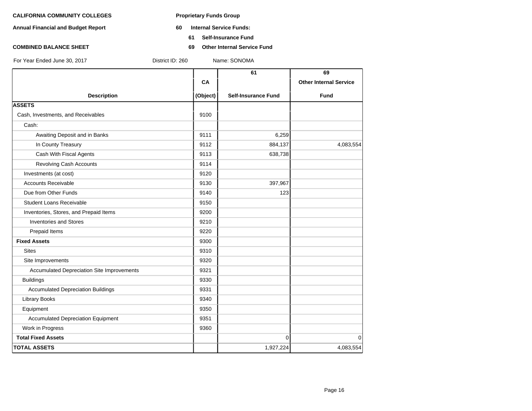- **Annual Financial and Budget Report 60 Internal Service Funds:**
	- **61 Self-Insurance Fund**
- **COMBINED BALANCE SHEET 69 Other Internal Service Fund**

|                                            |          | 61                         | 69                            |
|--------------------------------------------|----------|----------------------------|-------------------------------|
|                                            | CA       |                            | <b>Other Internal Service</b> |
| <b>Description</b>                         | (Object) | <b>Self-Insurance Fund</b> | <b>Fund</b>                   |
| <b>ASSETS</b>                              |          |                            |                               |
| Cash, Investments, and Receivables         | 9100     |                            |                               |
| Cash:                                      |          |                            |                               |
| Awaiting Deposit and in Banks              | 9111     | 6,259                      |                               |
| In County Treasury                         | 9112     | 884,137                    | 4,083,554                     |
| Cash With Fiscal Agents                    | 9113     | 638,738                    |                               |
| <b>Revolving Cash Accounts</b>             | 9114     |                            |                               |
| Investments (at cost)                      | 9120     |                            |                               |
| <b>Accounts Receivable</b>                 | 9130     | 397,967                    |                               |
| Due from Other Funds                       | 9140     | 123                        |                               |
| <b>Student Loans Receivable</b>            | 9150     |                            |                               |
| Inventories, Stores, and Prepaid Items     | 9200     |                            |                               |
| <b>Inventories and Stores</b>              | 9210     |                            |                               |
| Prepaid Items                              | 9220     |                            |                               |
| <b>Fixed Assets</b>                        | 9300     |                            |                               |
| <b>Sites</b>                               | 9310     |                            |                               |
| Site Improvements                          | 9320     |                            |                               |
| Accumulated Depreciation Site Improvements | 9321     |                            |                               |
| <b>Buildings</b>                           | 9330     |                            |                               |
| <b>Accumulated Depreciation Buildings</b>  | 9331     |                            |                               |
| <b>Library Books</b>                       | 9340     |                            |                               |
| Equipment                                  | 9350     |                            |                               |
| <b>Accumulated Depreciation Equipment</b>  | 9351     |                            |                               |
| Work in Progress                           | 9360     |                            |                               |
| <b>Total Fixed Assets</b>                  |          | $\Omega$                   | $\mathbf 0$                   |
| <b>TOTAL ASSETS</b>                        |          | 1,927,224                  | 4,083,554                     |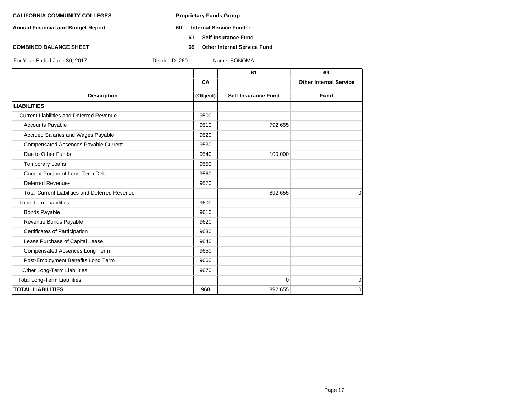- **Annual Financial and Budget Report 60 Internal Service Funds:**
	- **61 Self-Insurance Fund**
- **COMBINED BALANCE SHEET 69 Other Internal Service Fund**

|                                                       |          | 61                         | 69                            |
|-------------------------------------------------------|----------|----------------------------|-------------------------------|
|                                                       | CA       |                            | <b>Other Internal Service</b> |
| <b>Description</b>                                    | (Object) | <b>Self-Insurance Fund</b> | <b>Fund</b>                   |
| <b>LIABILITIES</b>                                    |          |                            |                               |
| <b>Current Liabilities and Deferred Revenue</b>       | 9500     |                            |                               |
| Accounts Payable                                      | 9510     | 792,655                    |                               |
| Accrued Salaries and Wages Payable                    | 9520     |                            |                               |
| <b>Compensated Absences Payable Current</b>           | 9530     |                            |                               |
| Due to Other Funds                                    | 9540     | 100,000                    |                               |
| <b>Temporary Loans</b>                                | 9550     |                            |                               |
| Current Portion of Long-Term Debt                     | 9560     |                            |                               |
| <b>Deferred Revenues</b>                              | 9570     |                            |                               |
| <b>Total Current Liabilities and Deferred Revenue</b> |          | 892,655                    | $\Omega$                      |
| Long-Term Liabilities                                 | 9600     |                            |                               |
| <b>Bonds Payable</b>                                  | 9610     |                            |                               |
| Revenue Bonds Payable                                 | 9620     |                            |                               |
| Certificates of Participation                         | 9630     |                            |                               |
| Lease Purchase of Capital Lease                       | 9640     |                            |                               |
| Compensated Absences Long Term                        | 9650     |                            |                               |
| Post-Employment Benefits Long Term                    | 9660     |                            |                               |
| Other Long-Term Liabilities                           | 9670     |                            |                               |
| <b>Total Long-Term Liabilities</b>                    |          | $\Omega$                   | 0                             |
| <b>TOTAL LIABILITIES</b>                              | 968      | 892,655                    | $\mathbf 0$                   |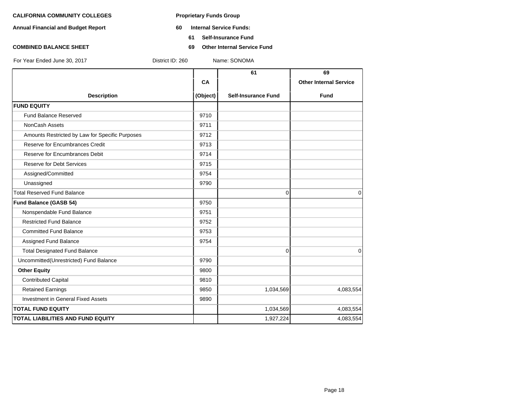- **Annual Financial and Budget Report 60 Internal Service Funds:**
	- **61 Self-Insurance Fund**
- **COMBINED BALANCE SHEET 69 Other Internal Service Fund**

|                                                 |          | 61                         | 69                            |
|-------------------------------------------------|----------|----------------------------|-------------------------------|
|                                                 | CA       |                            | <b>Other Internal Service</b> |
| <b>Description</b>                              | (Object) | <b>Self-Insurance Fund</b> | <b>Fund</b>                   |
| <b>FUND EQUITY</b>                              |          |                            |                               |
| <b>Fund Balance Reserved</b>                    | 9710     |                            |                               |
| NonCash Assets                                  | 9711     |                            |                               |
| Amounts Restricted by Law for Specific Purposes | 9712     |                            |                               |
| Reserve for Encumbrances Credit                 | 9713     |                            |                               |
| Reserve for Encumbrances Debit                  | 9714     |                            |                               |
| <b>Reserve for Debt Services</b>                | 9715     |                            |                               |
| Assigned/Committed                              | 9754     |                            |                               |
| Unassigned                                      | 9790     |                            |                               |
| <b>Total Reserved Fund Balance</b>              |          | $\Omega$                   | $\Omega$                      |
| <b>Fund Balance (GASB 54)</b>                   | 9750     |                            |                               |
| Nonspendable Fund Balance                       | 9751     |                            |                               |
| <b>Restricted Fund Balance</b>                  | 9752     |                            |                               |
| <b>Committed Fund Balance</b>                   | 9753     |                            |                               |
| Assigned Fund Balance                           | 9754     |                            |                               |
| <b>Total Designated Fund Balance</b>            |          | 0                          | $\mathbf 0$                   |
| Uncommitted(Unrestricted) Fund Balance          | 9790     |                            |                               |
| <b>Other Equity</b>                             | 9800     |                            |                               |
| <b>Contributed Capital</b>                      | 9810     |                            |                               |
| <b>Retained Earnings</b>                        | 9850     | 1,034,569                  | 4,083,554                     |
| <b>Investment in General Fixed Assets</b>       | 9890     |                            |                               |
| <b>TOTAL FUND EQUITY</b>                        |          | 1,034,569                  | 4,083,554                     |
| <b>TOTAL LIABILITIES AND FUND EQUITY</b>        |          | 1,927,224                  | 4,083,554                     |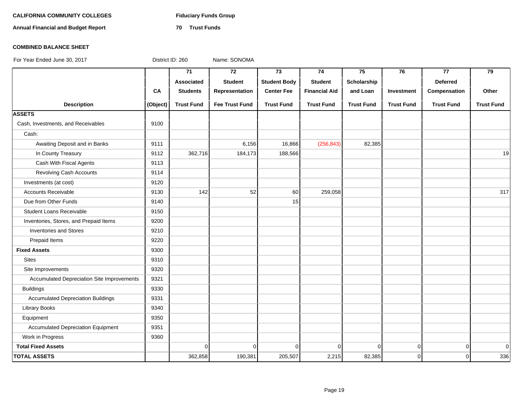# CALIFORNIA COMMUNITY COLLEGES Fiduciary Funds Group

**Annual Financial and Budget Report 70 Trust Funds**

### **COMBINED BALANCE SHEET**

|                                            |          | $\overline{71}$   | $\overline{72}$       | $\overline{73}$     | 74                   | 75                | 76                | 77                | 79                |
|--------------------------------------------|----------|-------------------|-----------------------|---------------------|----------------------|-------------------|-------------------|-------------------|-------------------|
|                                            |          | Associated        | <b>Student</b>        | <b>Student Body</b> | <b>Student</b>       | Scholarship       |                   | <b>Deferred</b>   |                   |
|                                            | CA       | <b>Students</b>   | Representation        | <b>Center Fee</b>   | <b>Financial Aid</b> | and Loan          | Investment        | Compensation      | Other             |
| <b>Description</b>                         | (Object) | <b>Trust Fund</b> | <b>Fee Trust Fund</b> | <b>Trust Fund</b>   | <b>Trust Fund</b>    | <b>Trust Fund</b> | <b>Trust Fund</b> | <b>Trust Fund</b> | <b>Trust Fund</b> |
| <b>ASSETS</b>                              |          |                   |                       |                     |                      |                   |                   |                   |                   |
| Cash, Investments, and Receivables         | 9100     |                   |                       |                     |                      |                   |                   |                   |                   |
| Cash:                                      |          |                   |                       |                     |                      |                   |                   |                   |                   |
| Awaiting Deposit and in Banks              | 9111     |                   | 6,156                 | 16,866              | (256, 843)           | 82,385            |                   |                   |                   |
| In County Treasury                         | 9112     | 362,716           | 184,173               | 188,566             |                      |                   |                   |                   | 19                |
| Cash With Fiscal Agents                    | 9113     |                   |                       |                     |                      |                   |                   |                   |                   |
| Revolving Cash Accounts                    | 9114     |                   |                       |                     |                      |                   |                   |                   |                   |
| Investments (at cost)                      | 9120     |                   |                       |                     |                      |                   |                   |                   |                   |
| <b>Accounts Receivable</b>                 | 9130     | 142               | 52                    | 60                  | 259,058              |                   |                   |                   | 317               |
| Due from Other Funds                       | 9140     |                   |                       | 15                  |                      |                   |                   |                   |                   |
| <b>Student Loans Receivable</b>            | 9150     |                   |                       |                     |                      |                   |                   |                   |                   |
| Inventories, Stores, and Prepaid Items     | 9200     |                   |                       |                     |                      |                   |                   |                   |                   |
| <b>Inventories and Stores</b>              | 9210     |                   |                       |                     |                      |                   |                   |                   |                   |
| Prepaid Items                              | 9220     |                   |                       |                     |                      |                   |                   |                   |                   |
| <b>Fixed Assets</b>                        | 9300     |                   |                       |                     |                      |                   |                   |                   |                   |
| <b>Sites</b>                               | 9310     |                   |                       |                     |                      |                   |                   |                   |                   |
| Site Improvements                          | 9320     |                   |                       |                     |                      |                   |                   |                   |                   |
| Accumulated Depreciation Site Improvements | 9321     |                   |                       |                     |                      |                   |                   |                   |                   |
| <b>Buildings</b>                           | 9330     |                   |                       |                     |                      |                   |                   |                   |                   |
| <b>Accumulated Depreciation Buildings</b>  | 9331     |                   |                       |                     |                      |                   |                   |                   |                   |
| <b>Library Books</b>                       | 9340     |                   |                       |                     |                      |                   |                   |                   |                   |
| Equipment                                  | 9350     |                   |                       |                     |                      |                   |                   |                   |                   |
| <b>Accumulated Depreciation Equipment</b>  | 9351     |                   |                       |                     |                      |                   |                   |                   |                   |
| Work in Progress                           | 9360     |                   |                       |                     |                      |                   |                   |                   |                   |
| <b>Total Fixed Assets</b>                  |          | $\Omega$          | $\overline{0}$        | $\Omega$            | $\mathbf 0$          | $\Omega$          | $\mathbf 0$       | $\overline{0}$    | $\overline{0}$    |
| <b>TOTAL ASSETS</b>                        |          | 362,858           | 190,381               | 205,507             | 2,215                | 82,385            | $\mathbf 0$       | $\Omega$          | 336               |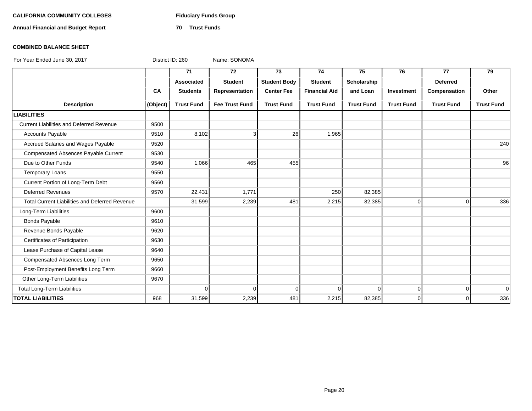# CALIFORNIA COMMUNITY COLLEGES Fiduciary Funds Group

**Annual Financial and Budget Report 70 Trust Funds**

### **COMBINED BALANCE SHEET**

|                                                       |          | 71                | 72                    | 73                  | 74                   | 75                | 76                | 77                | 79                |
|-------------------------------------------------------|----------|-------------------|-----------------------|---------------------|----------------------|-------------------|-------------------|-------------------|-------------------|
|                                                       |          | Associated        | <b>Student</b>        | <b>Student Body</b> | <b>Student</b>       | Scholarship       |                   | <b>Deferred</b>   |                   |
|                                                       | CA       | <b>Students</b>   | Representation        | <b>Center Fee</b>   | <b>Financial Aid</b> | and Loan          | Investment        | Compensation      | Other             |
| <b>Description</b>                                    | (Object) | <b>Trust Fund</b> | <b>Fee Trust Fund</b> | <b>Trust Fund</b>   | <b>Trust Fund</b>    | <b>Trust Fund</b> | <b>Trust Fund</b> | <b>Trust Fund</b> | <b>Trust Fund</b> |
| <b>LIABILITIES</b>                                    |          |                   |                       |                     |                      |                   |                   |                   |                   |
| <b>Current Liabilities and Deferred Revenue</b>       | 9500     |                   |                       |                     |                      |                   |                   |                   |                   |
| <b>Accounts Payable</b>                               | 9510     | 8,102             | 3                     | 26                  | 1,965                |                   |                   |                   |                   |
| Accrued Salaries and Wages Payable                    | 9520     |                   |                       |                     |                      |                   |                   |                   | 240               |
| Compensated Absences Payable Current                  | 9530     |                   |                       |                     |                      |                   |                   |                   |                   |
| Due to Other Funds                                    | 9540     | 1,066             | 465                   | 455                 |                      |                   |                   |                   | 96                |
| <b>Temporary Loans</b>                                | 9550     |                   |                       |                     |                      |                   |                   |                   |                   |
| Current Portion of Long-Term Debt                     | 9560     |                   |                       |                     |                      |                   |                   |                   |                   |
| <b>Deferred Revenues</b>                              | 9570     | 22,431            | 1,771                 |                     | 250                  | 82,385            |                   |                   |                   |
| <b>Total Current Liabilities and Deferred Revenue</b> |          | 31,599            | 2,239                 | 481                 | 2,215                | 82,385            | $\mathbf 0$       | $\Omega$          | 336               |
| Long-Term Liabilities                                 | 9600     |                   |                       |                     |                      |                   |                   |                   |                   |
| <b>Bonds Payable</b>                                  | 9610     |                   |                       |                     |                      |                   |                   |                   |                   |
| Revenue Bonds Payable                                 | 9620     |                   |                       |                     |                      |                   |                   |                   |                   |
| Certificates of Participation                         | 9630     |                   |                       |                     |                      |                   |                   |                   |                   |
| Lease Purchase of Capital Lease                       | 9640     |                   |                       |                     |                      |                   |                   |                   |                   |
| Compensated Absences Long Term                        | 9650     |                   |                       |                     |                      |                   |                   |                   |                   |
| Post-Employment Benefits Long Term                    | 9660     |                   |                       |                     |                      |                   |                   |                   |                   |
| Other Long-Term Liabilities                           | 9670     |                   |                       |                     |                      |                   |                   |                   |                   |
| <b>Total Long-Term Liabilities</b>                    |          | $\Omega$          | $\Omega$              | $\Omega$            | $\Omega$             | $\Omega$          | $\mathbf 0$       | $\Omega$          | $\overline{0}$    |
| <b>TOTAL LIABILITIES</b>                              | 968      | 31,599            | 2,239                 | 481                 | 2,215                | 82,385            | $\mathbf 0$       | $\Omega$          | 336               |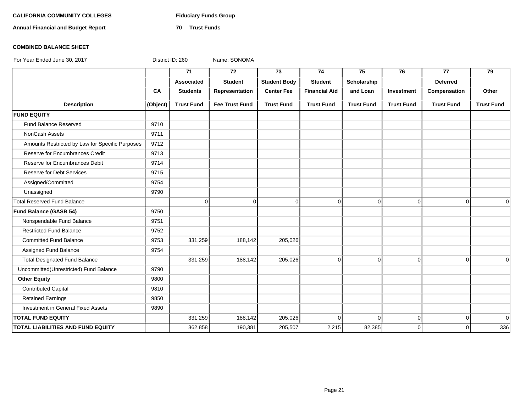# CALIFORNIA COMMUNITY COLLEGES Fiduciary Funds Group

**Annual Financial and Budget Report 70 Trust Funds**

### **COMBINED BALANCE SHEET**

|                                                 |          | $\overline{71}$   | $\overline{72}$       | $\overline{73}$     | 74                   | 75                | 76                | $\overline{77}$   | $\overline{79}$   |
|-------------------------------------------------|----------|-------------------|-----------------------|---------------------|----------------------|-------------------|-------------------|-------------------|-------------------|
|                                                 |          | <b>Associated</b> | <b>Student</b>        | <b>Student Body</b> | <b>Student</b>       | Scholarship       |                   | <b>Deferred</b>   |                   |
|                                                 | CA       | <b>Students</b>   | Representation        | <b>Center Fee</b>   | <b>Financial Aid</b> | and Loan          | Investment        | Compensation      | Other             |
| <b>Description</b>                              | (Object) | <b>Trust Fund</b> | <b>Fee Trust Fund</b> | <b>Trust Fund</b>   | <b>Trust Fund</b>    | <b>Trust Fund</b> | <b>Trust Fund</b> | <b>Trust Fund</b> | <b>Trust Fund</b> |
| <b>FUND EQUITY</b>                              |          |                   |                       |                     |                      |                   |                   |                   |                   |
| <b>Fund Balance Reserved</b>                    | 9710     |                   |                       |                     |                      |                   |                   |                   |                   |
| <b>NonCash Assets</b>                           | 9711     |                   |                       |                     |                      |                   |                   |                   |                   |
| Amounts Restricted by Law for Specific Purposes | 9712     |                   |                       |                     |                      |                   |                   |                   |                   |
| Reserve for Encumbrances Credit                 | 9713     |                   |                       |                     |                      |                   |                   |                   |                   |
| Reserve for Encumbrances Debit                  | 9714     |                   |                       |                     |                      |                   |                   |                   |                   |
| <b>Reserve for Debt Services</b>                | 9715     |                   |                       |                     |                      |                   |                   |                   |                   |
| Assigned/Committed                              | 9754     |                   |                       |                     |                      |                   |                   |                   |                   |
| Unassigned                                      | 9790     |                   |                       |                     |                      |                   |                   |                   |                   |
| <b>Total Reserved Fund Balance</b>              |          | $\overline{0}$    | $\Omega$              | $\Omega$            | $\mathbf 0$          | $\overline{0}$    | $\overline{0}$    | $\Omega$          | $\Omega$          |
| Fund Balance (GASB 54)                          | 9750     |                   |                       |                     |                      |                   |                   |                   |                   |
| Nonspendable Fund Balance                       | 9751     |                   |                       |                     |                      |                   |                   |                   |                   |
| <b>Restricted Fund Balance</b>                  | 9752     |                   |                       |                     |                      |                   |                   |                   |                   |
| <b>Committed Fund Balance</b>                   | 9753     | 331,259           | 188,142               | 205,026             |                      |                   |                   |                   |                   |
| Assigned Fund Balance                           | 9754     |                   |                       |                     |                      |                   |                   |                   |                   |
| <b>Total Designated Fund Balance</b>            |          | 331,259           | 188,142               | 205,026             | $\Omega$             | $\overline{0}$    | $\Omega$          | $\overline{0}$    | $\Omega$          |
| Uncommitted(Unrestricted) Fund Balance          | 9790     |                   |                       |                     |                      |                   |                   |                   |                   |
| <b>Other Equity</b>                             | 9800     |                   |                       |                     |                      |                   |                   |                   |                   |
| <b>Contributed Capital</b>                      | 9810     |                   |                       |                     |                      |                   |                   |                   |                   |
| <b>Retained Earnings</b>                        | 9850     |                   |                       |                     |                      |                   |                   |                   |                   |
| Investment in General Fixed Assets              | 9890     |                   |                       |                     |                      |                   |                   |                   |                   |
| <b>TOTAL FUND EQUITY</b>                        |          | 331,259           | 188,142               | 205,026             | $\Omega$             | $\Omega$          | $\overline{0}$    | $\overline{0}$    | $\Omega$          |
| <b>TOTAL LIABILITIES AND FUND EQUITY</b>        |          | 362,858           | 190,381               | 205,507             | 2,215                | 82,385            | $\Omega$          | $\Omega$          | 336               |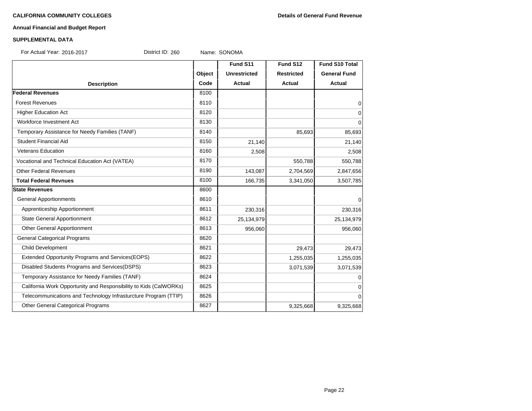# **Annual Financial and Budget Report**

### **SUPPLEMENTAL DATA**

For Actual Year: 2016-2017 District ID: 260 Name: SONOMA

|                                                                   |        | Fund S11            | Fund S12          | Fund S10 Total      |
|-------------------------------------------------------------------|--------|---------------------|-------------------|---------------------|
|                                                                   | Object | <b>Unrestricted</b> | <b>Restricted</b> | <b>General Fund</b> |
| <b>Description</b>                                                | Code   | Actual              | <b>Actual</b>     | <b>Actual</b>       |
| <b>Federal Revenues</b>                                           | 8100   |                     |                   |                     |
| <b>Forest Revenues</b>                                            | 8110   |                     |                   | 0                   |
| <b>Higher Education Act</b>                                       | 8120   |                     |                   | $\mathbf 0$         |
| Workforce Investment Act                                          | 8130   |                     |                   | $\Omega$            |
| Temporary Assistance for Needy Families (TANF)                    | 8140   |                     | 85,693            | 85,693              |
| Student Financial Aid                                             | 8150   | 21,140              |                   | 21,140              |
| <b>Veterans Education</b>                                         | 8160   | 2,508               |                   | 2,508               |
| Vocational and Technical Education Act (VATEA)                    | 8170   |                     | 550,788           | 550,788             |
| <b>Other Federal Revenues</b>                                     | 8190   | 143,087             | 2,704,569         | 2,847,656           |
| <b>Total Federal Revnues</b>                                      | 8100   | 166,735             | 3,341,050         | 3,507,785           |
| <b>State Revenues</b>                                             | 8600   |                     |                   |                     |
| <b>General Apportionments</b>                                     | 8610   |                     |                   | 0                   |
| Apprenticeship Apportionment                                      | 8611   | 230,316             |                   | 230,316             |
| <b>State General Apportionment</b>                                | 8612   | 25,134,979          |                   | 25,134,979          |
| Other General Apportionment                                       | 8613   | 956,060             |                   | 956,060             |
| <b>General Categorical Programs</b>                               | 8620   |                     |                   |                     |
| Child Development                                                 | 8621   |                     | 29,473            | 29,473              |
| Extended Opportunity Programs and Services (EOPS)                 | 8622   |                     | 1,255,035         | 1,255,035           |
| Disabled Students Programs and Services(DSPS)                     | 8623   |                     | 3,071,539         | 3,071,539           |
| Temporary Assistance for Needy Families (TANF)                    | 8624   |                     |                   | $\Omega$            |
| California Work Opportunity and Responsibility to Kids (CalWORKs) | 8625   |                     |                   | 0                   |
| Telecommunications and Technology Infrasturcture Program (TTIP)   | 8626   |                     |                   | $\Omega$            |
| Other General Categorical Programs                                | 8627   |                     | 9,325,668         | 9,325,668           |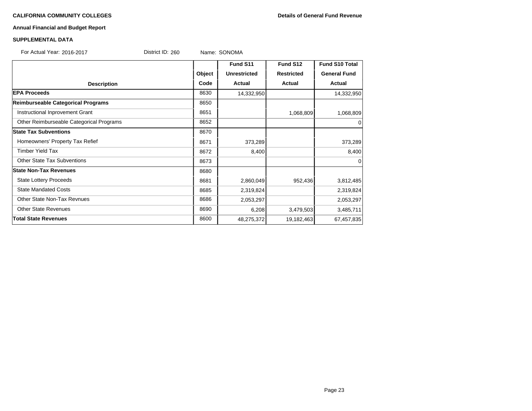# **Annual Financial and Budget Report**

### **SUPPLEMENTAL DATA**

| For Actual Year: 2016-2017 | District ID: 260 | Name: SONOMA |  |
|----------------------------|------------------|--------------|--|
|----------------------------|------------------|--------------|--|

|                                          |        | Fund S11            | Fund S12          | <b>Fund S10 Total</b> |
|------------------------------------------|--------|---------------------|-------------------|-----------------------|
|                                          | Object | <b>Unrestricted</b> | <b>Restricted</b> | <b>General Fund</b>   |
| <b>Description</b>                       | Code   | Actual              | <b>Actual</b>     | Actual                |
| <b>EPA Proceeds</b>                      | 8630   | 14,332,950          |                   | 14,332,950            |
| Reimburseable Categorical Programs       | 8650   |                     |                   |                       |
| Instructional Inprovement Grant          | 8651   |                     | 1,068,809         | 1,068,809             |
| Other Reimburseable Categorical Programs | 8652   |                     |                   | $\Omega$              |
| <b>State Tax Subventions</b>             | 8670   |                     |                   |                       |
| Homeowners' Property Tax Refief          | 8671   | 373,289             |                   | 373,289               |
| <b>Timber Yield Tax</b>                  | 8672   | 8,400               |                   | 8,400                 |
| <b>Other State Tax Subventions</b>       | 8673   |                     |                   | $\Omega$              |
| <b>State Non-Tax Revenues</b>            | 8680   |                     |                   |                       |
| <b>State Lottery Proceeds</b>            | 8681   | 2,860,049           | 952,436           | 3,812,485             |
| <b>State Mandated Costs</b>              | 8685   | 2,319,824           |                   | 2,319,824             |
| <b>Other State Non-Tax Revnues</b>       | 8686   | 2,053,297           |                   | 2,053,297             |
| <b>Other State Revenues</b>              | 8690   | 6,208               | 3,479,503         | 3,485,711             |
| <b>Total State Revenues</b>              | 8600   | 48,275,372          | 19,182,463        | 67,457,835            |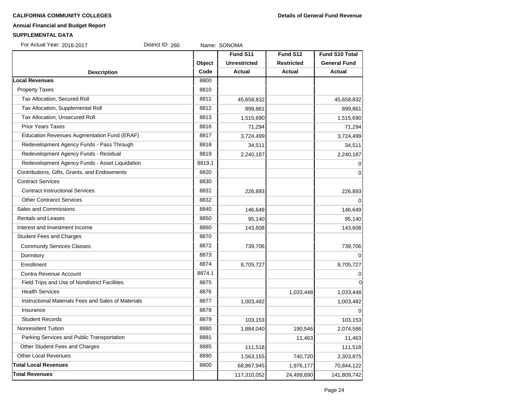### **Annual Financial and Budget Report**

#### **SUPPLEMENTAL DATA**

| For Actual Year: 2016-2017                          | District ID: 260 | Name: SONOMA        |                   |                     |
|-----------------------------------------------------|------------------|---------------------|-------------------|---------------------|
|                                                     |                  | Fund S11            | Fund S12          | Fund S10 Total      |
|                                                     | Object           | <b>Unrestricted</b> | <b>Restricted</b> | <b>General Fund</b> |
| <b>Description</b>                                  | Code             | <b>Actual</b>       | <b>Actual</b>     | <b>Actual</b>       |
| <b>Local Revenues</b>                               | 8800             |                     |                   |                     |
| <b>Property Taxes</b>                               | 8810             |                     |                   |                     |
| Tax Allocation, Secured Roll                        | 8811             | 45,658,832          |                   | 45,658,832          |
| Tax Allocation, Supplemental Roll                   | 8812             | 899,861             |                   | 899,861             |
| Tax Allocation, Unsecured Roll                      | 8813             | 1,515,690           |                   | 1,515,690           |
| <b>Prior Years Taxes</b>                            | 8816             | 71,294              |                   | 71,294              |
| Education Revenues Augmentation Fund (ERAF)         | 8817             | 3,724,499           |                   | 3,724,499           |
| Redevelopment Agency Funds - Pass Through           | 8818             | 34,511              |                   | 34,511              |
| Redevelopment Agency Funds - Residual               | 8819             | 2,240,187           |                   | 2,240,187           |
| Redevelopment Agency Funds - Asset Liquidation      | 8819.1           |                     |                   | $\Omega$            |
| Contributions, Gifts, Grants, and Endowments        | 8820             |                     |                   | 0                   |
| <b>Contract Services</b>                            | 8830             |                     |                   |                     |
| <b>Contract Instructional Services</b>              | 8831             | 226,893             |                   | 226,893             |
| <b>Other Contranct Services</b>                     | 8832             |                     |                   | $\Omega$            |
| Sales and Commissions                               | 8840             | 146,649             |                   | 146,649             |
| <b>Rentals and Leases</b>                           | 8850             | 95,140              |                   | 95,140              |
| Interest and Investment Income                      | 8860             | 143,608             |                   | 143,608             |
| <b>Student Fees and Charges</b>                     | 8870             |                     |                   |                     |
| <b>Community Services Classes</b>                   | 8872             | 739,706             |                   | 739,706             |
| Dormitory                                           | 8873             |                     |                   | $\Omega$            |
| Enrollment                                          | 8874             | 8,705,727           |                   | 8,705,727           |
| Contra Revenue Account                              | 8874.1           |                     |                   | 0                   |
| Field Trips and Use of Nondistrict Facilities       | 8875             |                     |                   | 0                   |
| <b>Health Services</b>                              | 8876             |                     | 1,033,448         | 1,033,448           |
| Instructional Materials Fees and Sales of Materials | 8877             | 1,003,482           |                   | 1,003,482           |
| Insurance                                           | 8878             |                     |                   | $\Omega$            |
| <b>Student Records</b>                              | 8879             | 103,153             |                   | 103,153             |
| Nonresident Tuition                                 | 8880             | 1,884,040           | 190,546           | 2,074,586           |
| Parking Services and Public Transportation          | 8881             |                     | 11,463            | 11,463              |
| Other Student Fees and Charges                      | 8885             | 111,518             |                   | 111,518             |
| <b>Other Local Revenues</b>                         | 8890             | 1,563,155           | 740,720           | 2,303,875           |

**Total Local Revenues** 8800 **68,867,945** 1,976,177 70,844,122 **Total Revenues** 117,310,052 24,499,690 141,809,742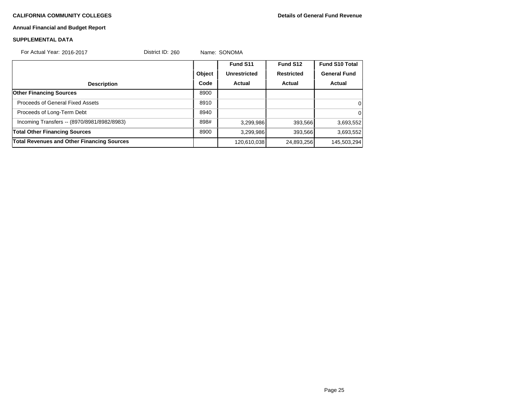# **Annual Financial and Budget Report**

# **SUPPLEMENTAL DATA**

| For Actual Year: 2016-2017                        | District ID: 260 |        | Name: SONOMA        |                   |                       |
|---------------------------------------------------|------------------|--------|---------------------|-------------------|-----------------------|
|                                                   |                  |        | Fund S11            | Fund S12          | <b>Fund S10 Total</b> |
|                                                   |                  | Object | <b>Unrestricted</b> | <b>Restricted</b> | <b>General Fund</b>   |
| <b>Description</b>                                |                  | Code   | Actual              | Actual            | Actual                |
| <b>Other Financing Sources</b>                    |                  | 8900   |                     |                   |                       |
| <b>Proceeds of General Fixed Assets</b>           |                  | 8910   |                     |                   | 0                     |
| Proceeds of Long-Term Debt                        |                  | 8940   |                     |                   | $\Omega$              |
| Incoming Transfers -- (8970/8981/8982/8983)       |                  | 898#   | 3,299,986           | 393,566           | 3,693,552             |
| <b>Total Other Financing Sources</b>              |                  | 8900   | 3,299,986           | 393,566           | 3,693,552             |
| <b>Total Revenues and Other Financing Sources</b> |                  |        | 120,610,038         | 24,893,256        | 145,503,294           |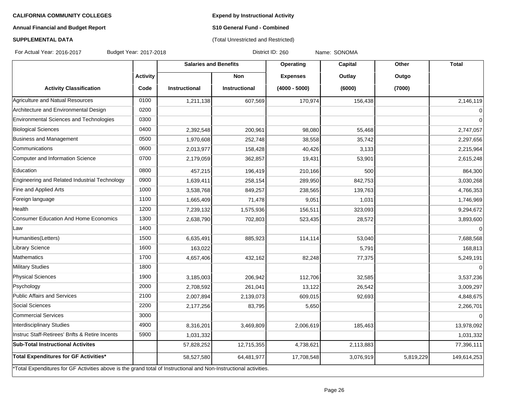**Expend by Instructional Activity**

# **Annual Financial and Budget Report**

# **S10 General Fund - Combined** (Total Unrestricted and Restricted)

# **SUPPLEMENTAL DATA**

For Actual Year: 2016-2017 Budget Year: 2017-2018 Contract Manusculing District ID: 260 Name: SONOMA

|                                                                                                                   |                 | <b>Salaries and Benefits</b> |                      | Operating       | Capital   | Other     | <b>Total</b> |
|-------------------------------------------------------------------------------------------------------------------|-----------------|------------------------------|----------------------|-----------------|-----------|-----------|--------------|
|                                                                                                                   | <b>Activity</b> |                              | <b>Non</b>           | <b>Expenses</b> | Outlay    | Outgo     |              |
| <b>Activity Classification</b>                                                                                    | Code            | <b>Instructional</b>         | <b>Instructional</b> | $(4000 - 5000)$ | (6000)    | (7000)    |              |
| Agriculture and Natual Resources                                                                                  | 0100            | 1,211,138                    | 607,569              | 170,974         | 156,438   |           | 2,146,119    |
| Architecture and Environmental Design                                                                             | 0200            |                              |                      |                 |           |           | $\Omega$     |
| Environmental Sciences and Technologies                                                                           | 0300            |                              |                      |                 |           |           | $\Omega$     |
| <b>Biological Sciences</b>                                                                                        | 0400            | 2,392,548                    | 200,961              | 98,080          | 55,468    |           | 2,747,057    |
| Business and Management                                                                                           | 0500            | 1,970,608                    | 252,748              | 38,558          | 35,742    |           | 2,297,656    |
| Communications                                                                                                    | 0600            | 2,013,977                    | 158,428              | 40,426          | 3,133     |           | 2,215,964    |
| Computer and Information Science                                                                                  | 0700            | 2,179,059                    | 362,857              | 19,431          | 53,901    |           | 2,615,248    |
| Education                                                                                                         | 0800            | 457,215                      | 196,419              | 210,166         | 500       |           | 864,300      |
| Engineering and Related Industrial Technology                                                                     | 0900            | 1,639,411                    | 258,154              | 289,950         | 842,753   |           | 3,030,268    |
| Fine and Applied Arts                                                                                             | 1000            | 3,538,768                    | 849,257              | 238,565         | 139,763   |           | 4,766,353    |
| Foreign language                                                                                                  | 1100            | 1,665,409                    | 71,478               | 9,051           | 1,031     |           | 1,746,969    |
| Health                                                                                                            | 1200            | 7,239,132                    | 1,575,936            | 156,511         | 323,093   |           | 9,294,672    |
| <b>Consumer Education And Home Economics</b>                                                                      | 1300            | 2,638,790                    | 702,803              | 523,435         | 28,572    |           | 3,893,600    |
| Law                                                                                                               | 1400            |                              |                      |                 |           |           | $\Omega$     |
| Humanities(Letters)                                                                                               | 1500            | 6,635,491                    | 885,923              | 114,114         | 53,040    |           | 7,688,568    |
| <b>Library Science</b>                                                                                            | 1600            | 163,022                      |                      |                 | 5,791     |           | 168,813      |
| Mathematics                                                                                                       | 1700            | 4,657,406                    | 432,162              | 82,248          | 77,375    |           | 5,249,191    |
| Military Studies                                                                                                  | 1800            |                              |                      |                 |           |           |              |
| <b>Physical Sciences</b>                                                                                          | 1900            | 3,185,003                    | 206,942              | 112,706         | 32,585    |           | 3,537,236    |
| Psychology                                                                                                        | 2000            | 2,708,592                    | 261,041              | 13,122          | 26,542    |           | 3,009,297    |
| Public Affairs and Services                                                                                       | 2100            | 2,007,894                    | 2,139,073            | 609,015         | 92,693    |           | 4,848,675    |
| Social Sciences                                                                                                   | 2200            | 2,177,256                    | 83,795               | 5,650           |           |           | 2,266,701    |
| Commercial Services                                                                                               | 3000            |                              |                      |                 |           |           | $\Omega$     |
| Interdisciplinary Studies                                                                                         | 4900            | 8,316,201                    | 3,469,809            | 2,006,619       | 185,463   |           | 13,978,092   |
| Instruc Staff-Retirees' Bnfts & Retire Incents                                                                    | 5900            | 1,031,332                    |                      |                 |           |           | 1,031,332    |
| <b>Sub-Total Instructional Activites</b>                                                                          |                 | 57,828,252                   | 12,715,355           | 4,738,621       | 2,113,883 |           | 77,396,111   |
| Total Expenditures for GF Activities*                                                                             |                 | 58,527,580                   | 64,481,977           | 17,708,548      | 3,076,919 | 5,819,229 | 149,614,253  |
| *Total Expenditures for GF Activities above is the grand total of Instructional and Non-Instructional activities. |                 |                              |                      |                 |           |           |              |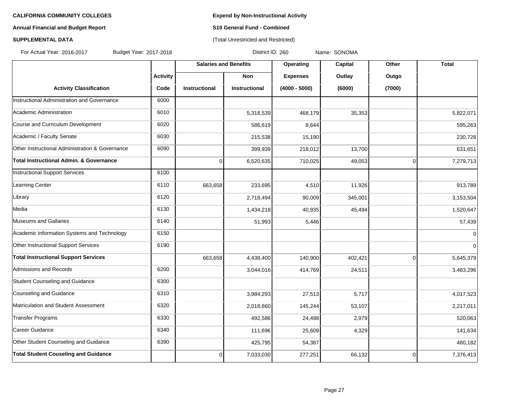# **Annual Financial and Budget Report S10 General Fund - Combined**

# **SUPPLEMENTAL DATA CONSERVATION CONSERVATION** (Total Unrestricted and Restricted)

For Actual Year: 2016-2017 Budget Year: 2017-2018 District ID: 260 Name: SONOMA

|                                                 |          | <b>Salaries and Benefits</b> |                      | <b>Operating</b> | <b>Capital</b> | Other          | <b>Total</b> |
|-------------------------------------------------|----------|------------------------------|----------------------|------------------|----------------|----------------|--------------|
|                                                 | Activity |                              | <b>Non</b>           | <b>Expenses</b>  | Outlay         | Outgo          |              |
| <b>Activity Classification</b>                  | Code     | <b>Instructional</b>         | <b>Instructional</b> | $(4000 - 5000)$  | (6000)         | (7000)         |              |
| Instructional Administration and Governance     | 6000     |                              |                      |                  |                |                |              |
| Academic Administration                         | 6010     |                              | 5,318,539            | 468,179          | 35,353         |                | 5,822,071    |
| Course and Curriculum Development               | 6020     |                              | 586,619              | 8,644            |                |                | 595,263      |
| Academic / Faculty Senate                       | 6030     |                              | 215,538              | 15,190           |                |                | 230,728      |
| Other Instructional Administration & Governance | 6090     |                              | 399,939              | 218,012          | 13,700         |                | 631,651      |
| Total Instructional Admin. & Governance         |          | $\mathbf 0$                  | 6,520,635            | 710,025          | 49,053         | 0              | 7,279,713    |
| Instructional Support Services                  | 6100     |                              |                      |                  |                |                |              |
| Learning Center                                 | 6110     | 663,658                      | 233,695              | 4,510            | 11,926         |                | 913,789      |
| Library                                         | 6120     |                              | 2,718,494            | 90,009           | 345,001        |                | 3,153,504    |
| Media                                           | 6130     |                              | 1,434,218            | 40,935           | 45,494         |                | 1,520,647    |
| Museums and Gallaries                           | 6140     |                              | 51,993               | 5,446            |                |                | 57,439       |
| Academic Information Systems and Technology     | 6150     |                              |                      |                  |                |                | $\mathbf 0$  |
| Other Instructional Support Services            | 6190     |                              |                      |                  |                |                | $\mathbf 0$  |
| <b>Total Instructional Support Services</b>     |          | 663,658                      | 4,438,400            | 140,900          | 402,421        | $\overline{0}$ | 5,645,379    |
| Admissions and Records                          | 6200     |                              | 3,044,016            | 414,769          | 24,511         |                | 3,483,296    |
| Student Counseling and Guidance                 | 6300     |                              |                      |                  |                |                |              |
| Counseling and Guidance                         | 6310     |                              | 3,984,293            | 27,513           | 5,717          |                | 4,017,523    |
| Matriculation and Student Assessment            | 6320     |                              | 2,018,660            | 145,244          | 53,107         |                | 2,217,011    |
| Transfer Programs                               | 6330     |                              | 492,586              | 24,498           | 2,979          |                | 520,063      |
| Career Guidance                                 | 6340     |                              | 111,696              | 25,609           | 4,329          |                | 141,634      |
| Other Student Counseling and Guidance           | 6390     |                              | 425,795              | 54,387           |                |                | 480,182      |
| <b>Total Student Couseling and Guidance</b>     |          | $\overline{0}$               | 7,033,030            | 277,251          | 66,132         | $\Omega$       | 7,376,413    |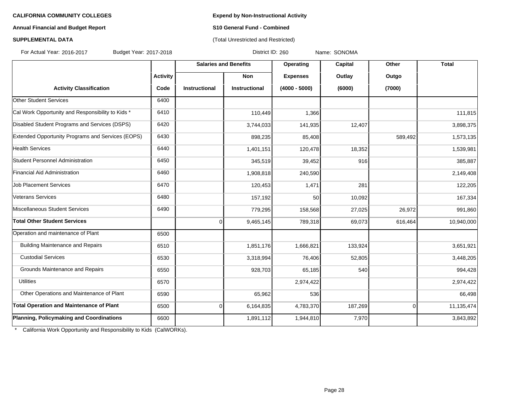### **Annual Financial and Budget Report S10 General Fund - Combined**

# **SUPPLEMENTAL DATA CONSERVATION CONSERVATION** (Total Unrestricted and Restricted)

For Actual Year: 2016-2017 Budget Year: 2017-2018 District ID: 260 Name: SONOMA

|                                                   |                 | <b>Salaries and Benefits</b> |                      | Operating       | Capital | Other    | <b>Total</b> |
|---------------------------------------------------|-----------------|------------------------------|----------------------|-----------------|---------|----------|--------------|
|                                                   | <b>Activity</b> |                              | Non                  | <b>Expenses</b> | Outlay  | Outgo    |              |
| <b>Activity Classification</b>                    | Code            | <b>Instructional</b>         | <b>Instructional</b> | $(4000 - 5000)$ | (6000)  | (7000)   |              |
| <b>Other Student Services</b>                     | 6400            |                              |                      |                 |         |          |              |
| Cal Work Opportunity and Responsibility to Kids * | 6410            |                              | 110,449              | 1,366           |         |          | 111,815      |
| Disabled Student Programs and Services (DSPS)     | 6420            |                              | 3,744,033            | 141,935         | 12,407  |          | 3,898,375    |
| Extended Opportunity Programs and Services (EOPS) | 6430            |                              | 898,235              | 85,408          |         | 589,492  | 1,573,135    |
| <b>Health Services</b>                            | 6440            |                              | 1,401,151            | 120,478         | 18,352  |          | 1,539,981    |
| Student Personnel Administration                  | 6450            |                              | 345,519              | 39,452          | 916     |          | 385,887      |
| Financial Aid Administration                      | 6460            |                              | 1,908,818            | 240,590         |         |          | 2,149,408    |
| <b>Job Placement Services</b>                     | 6470            |                              | 120,453              | 1,471           | 281     |          | 122,205      |
| Veterans Services                                 | 6480            |                              | 157,192              | 50              | 10,092  |          | 167,334      |
| Miscellaneous Student Services                    | 6490            |                              | 779,295              | 158,568         | 27,025  | 26,972   | 991,860      |
| <b>Total Other Student Services</b>               |                 | $\Omega$                     | 9,465,145            | 789,318         | 69,073  | 616,464  | 10,940,000   |
| Operation and maintenance of Plant                | 6500            |                              |                      |                 |         |          |              |
| <b>Building Maintenance and Repairs</b>           | 6510            |                              | 1,851,176            | 1,666,821       | 133,924 |          | 3,651,921    |
| <b>Custodial Services</b>                         | 6530            |                              | 3,318,994            | 76,406          | 52,805  |          | 3,448,205    |
| Grounds Maintenance and Repairs                   | 6550            |                              | 928,703              | 65,185          | 540     |          | 994,428      |
| <b>Utilities</b>                                  | 6570            |                              |                      | 2,974,422       |         |          | 2,974,422    |
| Other Operations and Maintenance of Plant         | 6590            |                              | 65,962               | 536             |         |          | 66,498       |
| Total Operation and Maintenance of Plant          | 6500            | $\overline{0}$               | 6,164,835            | 4,783,370       | 187,269 | $\Omega$ | 11,135,474   |
| Planning, Policymaking and Coordinations          | 6600            |                              | 1,891,112            | 1,944,810       | 7,970   |          | 3,843,892    |

\* California Work Opportunity and Responsibility to Kids (CalWORKs).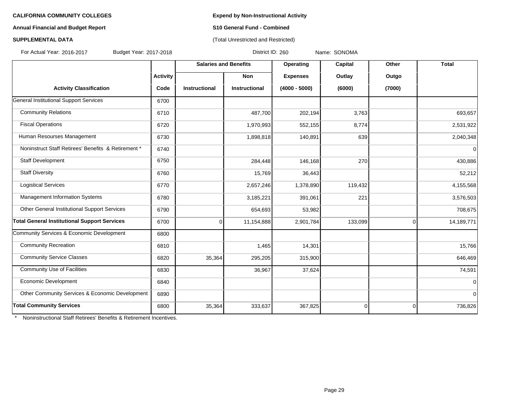### **Annual Financial and Budget Report S10 General Fund - Combined**

# **SUPPLEMENTAL DATA** (Total Unrestricted and Restricted)

For Actual Year: 2016-2017 Budget Year: 2017-2018 District ID: 260 Name: SONOMA

|                                                     |                 | <b>Salaries and Benefits</b> |               | Operating       | Capital  |                | <b>Total</b> |
|-----------------------------------------------------|-----------------|------------------------------|---------------|-----------------|----------|----------------|--------------|
|                                                     | <b>Activity</b> |                              | Non           | <b>Expenses</b> | Outlay   | Outgo          |              |
| <b>Activity Classification</b>                      | Code            | Instructional                | Instructional | $(4000 - 5000)$ | (6000)   | (7000)         |              |
| General Institutional Support Services              | 6700            |                              |               |                 |          |                |              |
| <b>Community Relations</b>                          | 6710            |                              | 487,700       | 202,194         | 3,763    |                | 693,657      |
| <b>Fiscal Operations</b>                            | 6720            |                              | 1,970,993     | 552,155         | 8,774    |                | 2,531,922    |
| Human Resourses Management                          | 6730            |                              | 1,898,818     | 140,891         | 639      |                | 2,040,348    |
| Noninstruct Staff Retirees' Benefits & Retirement * | 6740            |                              |               |                 |          |                | 0            |
| Staff Development                                   | 6750            |                              | 284,448       | 146,168         | 270      |                | 430,886      |
| <b>Staff Diversity</b>                              | 6760            |                              | 15,769        | 36,443          |          |                | 52,212       |
| <b>Logistical Services</b>                          | 6770            |                              | 2,657,246     | 1,378,890       | 119,432  |                | 4,155,568    |
| Management Information Systems                      | 6780            |                              | 3,185,221     | 391,061         | 221      |                | 3,576,503    |
| Other General Institutional Support Services        | 6790            |                              | 654,693       | 53,982          |          |                | 708,675      |
| <b>Total General Institutional Support Services</b> | 6700            | $\overline{0}$               | 11,154,888    | 2,901,784       | 133,099  | $\overline{0}$ | 14,189,771   |
| Community Services & Economic Development           | 6800            |                              |               |                 |          |                |              |
| <b>Community Recreation</b>                         | 6810            |                              | 1,465         | 14,301          |          |                | 15,766       |
| <b>Community Service Classes</b>                    | 6820            | 35,364                       | 295,205       | 315,900         |          |                | 646,469      |
| <b>Community Use of Facilities</b>                  | 6830            |                              | 36,967        | 37,624          |          |                | 74,591       |
| Economic Development                                | 6840            |                              |               |                 |          |                | 0            |
| Other Community Services & Economic Development     | 6890            |                              |               |                 |          |                | 0            |
| <b>Total Community Services</b>                     | 6800            | 35,364                       | 333,637       | 367,825         | $\Omega$ | $\Omega$       | 736,826      |

\* Noninstructional Staff Retirees' Benefits & Retirement Incentives.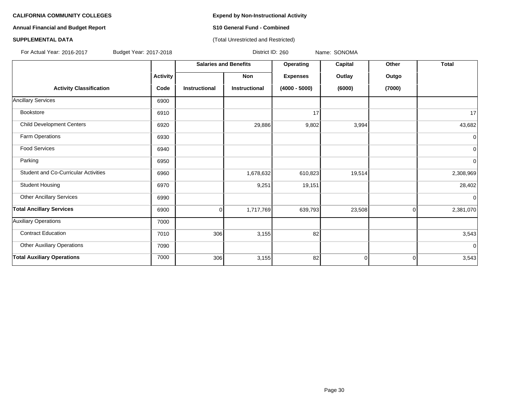# **Annual Financial and Budget Report S10 General Fund - Combined**

### **SUPPLEMENTAL DATA CONSERVATION CONSERVATION** (Total Unrestricted and Restricted)

For Actual Year: 2016-2017 Budget Year: 2017-2018 District ID: 260 Name: SONOMA

|                                             |                 | <b>Salaries and Benefits</b> |                      | Operating       | Capital     | Other       | <b>Total</b>   |
|---------------------------------------------|-----------------|------------------------------|----------------------|-----------------|-------------|-------------|----------------|
|                                             | <b>Activity</b> |                              | Non                  | <b>Expenses</b> | Outlay      | Outgo       |                |
| <b>Activity Classification</b>              | Code            | <b>Instructional</b>         | <b>Instructional</b> | $(4000 - 5000)$ | (6000)      | (7000)      |                |
| <b>Ancillary Services</b>                   | 6900            |                              |                      |                 |             |             |                |
| Bookstore                                   | 6910            |                              |                      | 17              |             |             | 17             |
| <b>Child Development Centers</b>            | 6920            |                              | 29,886               | 9,802           | 3,994       |             | 43,682         |
| Farm Operations                             | 6930            |                              |                      |                 |             |             | $\mathbf 0$    |
| <b>Food Services</b>                        | 6940            |                              |                      |                 |             |             | $\overline{0}$ |
| Parking                                     | 6950            |                              |                      |                 |             |             | $\overline{0}$ |
| <b>Student and Co-Curricular Activities</b> | 6960            |                              | 1,678,632            | 610,823         | 19,514      |             | 2,308,969      |
| <b>Student Housing</b>                      | 6970            |                              | 9,251                | 19,151          |             |             | 28,402         |
| <b>Other Ancillary Services</b>             | 6990            |                              |                      |                 |             |             | $\Omega$       |
| <b>Total Ancillary Services</b>             | 6900            | 0                            | 1,717,769            | 639,793         | 23,508      | 0           | 2,381,070      |
| Auxiliary Operations                        | 7000            |                              |                      |                 |             |             |                |
| <b>Contract Education</b>                   | 7010            | 306                          | 3,155                | 82              |             |             | 3,543          |
| <b>Other Auxiliary Operations</b>           | 7090            |                              |                      |                 |             |             | $\mathbf 0$    |
| <b>Total Auxiliary Operations</b>           | 7000            | 306                          | 3,155                | 82              | $\mathbf 0$ | $\mathbf 0$ | 3,543          |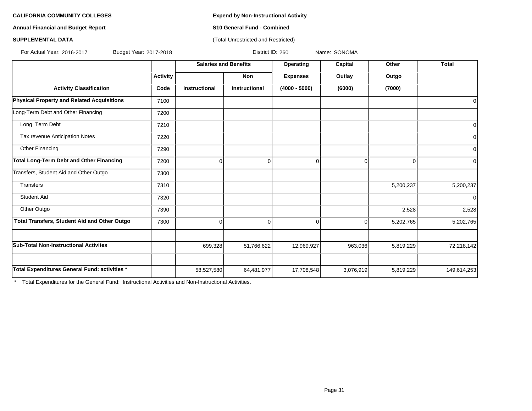**Annual Financial and Budget Report S10 General Fund - Combined**

### **SUPPLEMENTAL DATA CONSERVATION CONSERVATION** (Total Unrestricted and Restricted)

For Actual Year: 2016-2017 Budget Year: 2017-2018 District ID: 260 Name: SONOMA

|                                               |                 | <b>Salaries and Benefits</b> |                      | Operating       | Capital   | Other     | <b>Total</b> |
|-----------------------------------------------|-----------------|------------------------------|----------------------|-----------------|-----------|-----------|--------------|
|                                               | <b>Activity</b> |                              | Non                  | <b>Expenses</b> | Outlay    | Outgo     |              |
| <b>Activity Classification</b>                | Code            | <b>Instructional</b>         | <b>Instructional</b> | $(4000 - 5000)$ | (6000)    | (7000)    |              |
| Physical Property and Related Acquisitions    | 7100            |                              |                      |                 |           |           | 0            |
| Long-Term Debt and Other Financing            | 7200            |                              |                      |                 |           |           |              |
| Long_Term Debt                                | 7210            |                              |                      |                 |           |           | $\mathbf 0$  |
| Tax revenue Anticipation Notes                | 7220            |                              |                      |                 |           |           | $\mathbf 0$  |
| Other Financing                               | 7290            |                              |                      |                 |           |           | $\mathbf 0$  |
| Total Long-Term Debt and Other Financing      | 7200            | 0                            | 0                    | 0               | $\Omega$  | 0         | $\Omega$     |
| Transfers, Student Aid and Other Outgo        | 7300            |                              |                      |                 |           |           |              |
| Transfers                                     | 7310            |                              |                      |                 |           | 5,200,237 | 5,200,237    |
| <b>Student Aid</b>                            | 7320            |                              |                      |                 |           |           | $\mathbf 0$  |
| Other Outgo                                   | 7390            |                              |                      |                 |           | 2,528     | 2,528        |
| Total Transfers, Student Aid and Other Outgo  | 7300            | $\Omega$                     | $\Omega$             | $\Omega$        | $\Omega$  | 5,202,765 | 5,202,765    |
|                                               |                 |                              |                      |                 |           |           |              |
| <b>Sub-Total Non-Instructional Activites</b>  |                 | 699,328                      | 51,766,622           | 12,969,927      | 963,036   | 5,819,229 | 72,218,142   |
|                                               |                 |                              |                      |                 |           |           |              |
| Total Expenditures General Fund: activities * |                 | 58,527,580                   | 64,481,977           | 17,708,548      | 3,076,919 | 5,819,229 | 149,614,253  |

\* Total Expenditures for the General Fund: Instructional Activities and Non-Instructional Activities.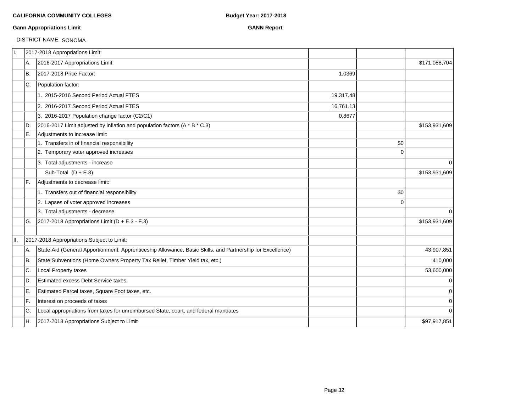### **Gann Appropriations Limit GANN Report**

# DISTRICT NAME: SONOMA

| II. |     | 2017-2018 Appropriations Limit:                                                                           |           |             |               |
|-----|-----|-----------------------------------------------------------------------------------------------------------|-----------|-------------|---------------|
|     | А.  | 2016-2017 Appropriations Limit:                                                                           |           |             | \$171,088,704 |
|     | Iв. | 2017-2018 Price Factor:                                                                                   | 1.0369    |             |               |
|     | C.  | Population factor:                                                                                        |           |             |               |
|     |     | 1. 2015-2016 Second Period Actual FTES                                                                    | 19,317.48 |             |               |
|     |     | 2. 2016-2017 Second Period Actual FTES                                                                    | 16,761.13 |             |               |
|     |     | 3. 2016-2017 Population change factor (C2/C1)                                                             | 0.8677    |             |               |
|     | ID. | 2016-2017 Limit adjusted by inflation and population factors (A * B * C.3)                                |           |             | \$153,931,609 |
|     | IE. | Adjustments to increase limit:                                                                            |           |             |               |
|     |     | 1. Transfers in of financial responsibility                                                               |           | \$0         |               |
|     |     | 2. Temporary voter approved increases                                                                     |           | $\Omega$    |               |
|     |     | 3. Total adjustments - increase                                                                           |           |             | $\mathbf 0$   |
|     |     | Sub-Total $(D + E.3)$                                                                                     |           |             | \$153,931,609 |
|     | IF. | Adjustments to decrease limit:                                                                            |           |             |               |
|     |     | 1. Transfers out of financial responsibility                                                              |           | \$0         |               |
|     |     | 2. Lapses of voter approved increases                                                                     |           | $\mathbf 0$ |               |
|     |     | 3. Total adjustments - decrease                                                                           |           |             | $\Omega$      |
|     | IG. | 2017-2018 Appropriations Limit ( $D + E.3 - F.3$ )                                                        |           |             | \$153,931,609 |
| II. |     | 2017-2018 Appropriations Subject to Limit:                                                                |           |             |               |
|     | А.  | State Aid (General Apportionment, Apprenticeship Allowance, Basic Skills, and Partnership for Excellence) |           |             | 43,907,851    |
|     | IB. | State Subventions (Home Owners Property Tax Relief, Timber Yield tax, etc.)                               |           |             | 410,000       |
|     | C.  | Local Property taxes                                                                                      |           |             | 53,600,000    |
|     | ID. | <b>Estimated excess Debt Service taxes</b>                                                                |           |             | $\mathbf 0$   |
|     | ΙE. | Estimated Parcel taxes, Square Foot taxes, etc.                                                           |           |             | 0             |
|     | IF. | Interest on proceeds of taxes                                                                             |           |             | $\mathbf 0$   |
|     | IG. | Local appropriations from taxes for unreimbursed State, court, and federal mandates                       |           |             | $\mathbf 0$   |
|     | IH. | 2017-2018 Appropriations Subject to Limit                                                                 |           |             | \$97,917,851  |
|     |     |                                                                                                           |           |             |               |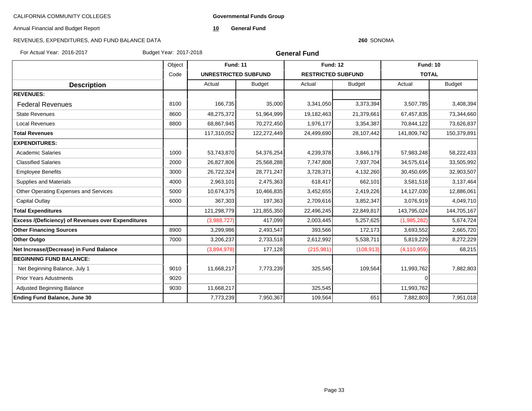**Governmental Funds Group**

Annual Financial and Budget Report

**10 General Fund**

# REVENUES, EXPENDITURES, AND FUND BALANCE DATA

#### **260** SONOMA

For Actual Year: 2016-2017 Budget Year: 2017-2018

**General Fund**

|                                                           | Object |                             | <b>Fund: 11</b> |                           | <b>Fund: 12</b> | <b>Fund: 10</b> |               |
|-----------------------------------------------------------|--------|-----------------------------|-----------------|---------------------------|-----------------|-----------------|---------------|
|                                                           | Code   | <b>UNRESTRICTED SUBFUND</b> |                 | <b>RESTRICTED SUBFUND</b> |                 | <b>TOTAL</b>    |               |
| <b>Description</b>                                        |        | Actual                      | <b>Budget</b>   | Actual                    | <b>Budget</b>   |                 | <b>Budget</b> |
| <b>REVENUES:</b>                                          |        |                             |                 |                           |                 |                 |               |
| <b>Federal Revenues</b>                                   | 8100   | 166,735                     | 35,000          | 3,341,050                 | 3,373,394       | 3,507,785       | 3,408,394     |
| <b>State Revenues</b>                                     | 8600   | 48,275,372                  | 51,964,999      | 19,182,463                | 21,379,661      | 67,457,835      | 73,344,660    |
| <b>Local Revenues</b>                                     | 8800   | 68,867,945                  | 70,272,450      | 1,976,177                 | 3,354,387       | 70,844,122      | 73,626,837    |
| <b>Total Revenues</b>                                     |        | 117,310,052                 | 122,272,449     | 24,499,690                | 28,107,442      | 141,809,742     | 150,379,891   |
| <b>EXPENDITURES:</b>                                      |        |                             |                 |                           |                 |                 |               |
| <b>Academic Salaries</b>                                  | 1000   | 53,743,870                  | 54,376,254      | 4,239,378                 | 3,846,179       | 57,983,248      | 58,222,433    |
| <b>Classified Salaries</b>                                | 2000   | 26,827,806                  | 25,568,288      | 7,747,808                 | 7,937,704       | 34,575,614      | 33,505,992    |
| <b>Employee Benefits</b>                                  | 3000   | 26,722,324                  | 28,771,247      | 3,728,371                 | 4,132,260       | 30,450,695      | 32,903,507    |
| <b>Supplies and Materials</b>                             | 4000   | 2,963,101                   | 2,475,363       | 618,417                   | 662,101         | 3,581,518       | 3,137,464     |
| Other Operating Expenses and Services                     | 5000   | 10,674,375                  | 10,466,835      | 3,452,655                 | 2,419,226       | 14,127,030      | 12,886,061    |
| Capital Outlay                                            | 6000   | 367,303                     | 197,363         | 2,709,616                 | 3,852,347       | 3,076,919       | 4,049,710     |
| <b>Total Expenditures</b>                                 |        | 121,298,779                 | 121,855,350     | 22,496,245                | 22,849,817      | 143,795,024     | 144,705,167   |
| <b>Excess /(Deficiency) of Revenues over Expenditures</b> |        | (3,988,727)                 | 417,099         | 2,003,445                 | 5,257,625       | (1,985,282)     | 5,674,724     |
| <b>Other Financing Sources</b>                            | 8900   | 3,299,986                   | 2,493,547       | 393,566                   | 172,173         | 3,693,552       | 2,665,720     |
| Other Outgo                                               | 7000   | 3,206,237                   | 2,733,518       | 2,612,992                 | 5,538,711       | 5,819,229       | 8,272,229     |
| Net Increase/(Decrease) in Fund Balance                   |        | (3,894,978)                 | 177,128         | (215,981)                 | (108, 913)      | (4, 110, 959)   | 68,215        |
| <b>BEGINNING FUND BALANCE:</b>                            |        |                             |                 |                           |                 |                 |               |
| Net Beginning Balance, July 1                             | 9010   | 11,668,217                  | 7,773,239       | 325,545                   | 109,564         | 11,993,762      | 7,882,803     |
| <b>Prior Years Adustments</b>                             | 9020   |                             |                 |                           |                 | $\Omega$        |               |
| <b>Adjusted Beginning Balance</b>                         | 9030   | 11,668,217                  |                 | 325,545                   |                 | 11,993,762      |               |
| <b>Ending Fund Balance, June 30</b>                       |        | 7,773,239                   | 7,950,367       | 109,564                   | 651             | 7,882,803       | 7,951,018     |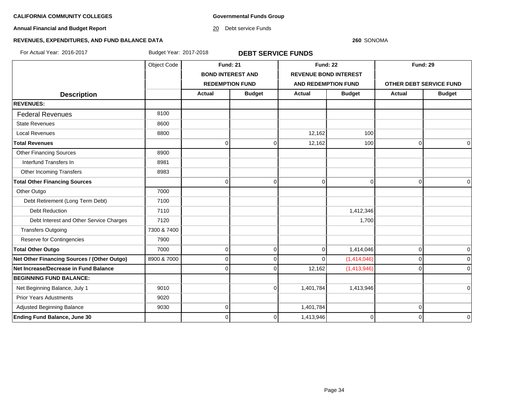**Governmental Funds Group**

**Annual Financial and Budget Report**

20 Debt service Funds

#### **260** SONOMA

# **REVENUES, EXPENDITURES, AND FUND BALANCE DATA**

For Actual Year: 2016-2017 Budget Year: 2017-2018 **DEBT SERVICE FUNDS**

|                                             | Object Code | <b>Fund: 21</b>        |                          | <b>Fund: 22</b>     |                              | <b>Fund: 29</b>         |               |
|---------------------------------------------|-------------|------------------------|--------------------------|---------------------|------------------------------|-------------------------|---------------|
|                                             |             |                        | <b>BOND INTEREST AND</b> |                     | <b>REVENUE BOND INTEREST</b> |                         |               |
|                                             |             | <b>REDEMPTION FUND</b> |                          | AND REDEMPTION FUND |                              | OTHER DEBT SERVICE FUND |               |
| <b>Description</b>                          |             | <b>Actual</b>          | <b>Budget</b>            | <b>Actual</b>       | <b>Budget</b>                | Actual                  | <b>Budget</b> |
| <b>REVENUES:</b>                            |             |                        |                          |                     |                              |                         |               |
| <b>Federal Revenues</b>                     | 8100        |                        |                          |                     |                              |                         |               |
| <b>State Revenues</b>                       | 8600        |                        |                          |                     |                              |                         |               |
| <b>Local Revenues</b>                       | 8800        |                        |                          | 12,162              | 100                          |                         |               |
| <b>Total Revenues</b>                       |             | $\Omega$               | $\mathbf 0$              | 12,162              | 100                          | $\mathbf 0$             | $\mathbf 0$   |
| <b>Other Financing Sources</b>              | 8900        |                        |                          |                     |                              |                         |               |
| Interfund Transfers In                      | 8981        |                        |                          |                     |                              |                         |               |
| Other Incoming Transfers                    | 8983        |                        |                          |                     |                              |                         |               |
| <b>Total Other Financing Sources</b>        |             | $\Omega$               | $\Omega$                 | $\mathbf 0$         | $\Omega$                     | $\overline{0}$          | $\Omega$      |
| Other Outgo                                 | 7000        |                        |                          |                     |                              |                         |               |
| Debt Retirement (Long Term Debt)            | 7100        |                        |                          |                     |                              |                         |               |
| <b>Debt Reduction</b>                       | 7110        |                        |                          |                     | 1,412,346                    |                         |               |
| Debt Interest and Other Service Charges     | 7120        |                        |                          |                     | 1,700                        |                         |               |
| <b>Transfers Outgoing</b>                   | 7300 & 7400 |                        |                          |                     |                              |                         |               |
| Reserve for Contingencies                   | 7900        |                        |                          |                     |                              |                         |               |
| <b>Total Other Outgo</b>                    | 7000        | $\Omega$               | $\mathbf 0$              | $\mathbf 0$         | 1,414,046                    | $\overline{0}$          | 0             |
| Net Other Financing Sources / (Other Outgo) | 8900 & 7000 | $\Omega$               | $\Omega$                 | $\mathbf 0$         | (1,414,046)                  | $\overline{0}$          | O             |
| Net Increase/Decrease in Fund Balance       |             |                        | $\Omega$                 | 12,162              | (1,413,946)                  | $\Omega$                | $\Omega$      |
| <b>BEGINNING FUND BALANCE:</b>              |             |                        |                          |                     |                              |                         |               |
| Net Beginning Balance, July 1               | 9010        |                        | $\Omega$                 | 1,401,784           | 1,413,946                    |                         | $\Omega$      |
| <b>Prior Years Adustments</b>               | 9020        |                        |                          |                     |                              |                         |               |
| Adjusted Beginning Balance                  | 9030        | $\Omega$               |                          | 1,401,784           |                              | 0                       |               |
| <b>Ending Fund Balance, June 30</b>         |             | 0                      | 0                        | 1,413,946           | 0                            | $\Omega$                | $\mathbf 0$   |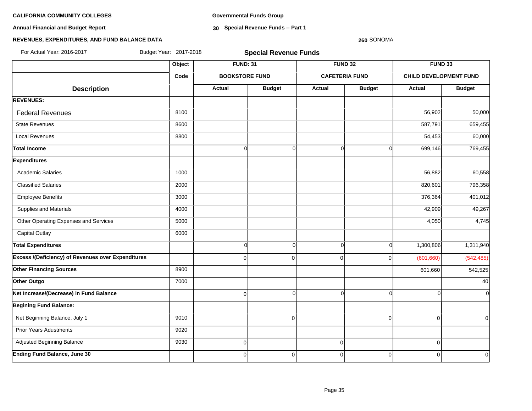**Annual Financial and Budget Report**

**Governmental Funds Group**

**30 Special Revenue Funds -- Part 1**

#### **260** SONOMA

### **REVENUES, EXPENDITURES, AND FUND BALANCE DATA**

**Object FUND: 31 FUND 32 FUND 33 Code BOOKSTORE FUND CAFETERIA FUND CHILD DEVELOPMENT FUND**  $\begin{array}{|c|c|c|c|c|c|}\n \hline\n \text{Description} & & \text{Actual} & \text{Actual} & \text{Budget} & \text{Actual} & \text{Budget} & \text{Actual} & \text{Budget} \end{array}$ **REVENUES:** Federal Revenues 8100 56,902 50,000 State Revenues 8600 587,791 659,455 659,455 Local Revenues 8800 54,453 60,000 **Total Income** 0 0 0 0 699,146 769,455 **Expenditures** Academic Salaries 1000 56,882 60,558 Classified Salaries 2000 820,601 796,358 Employee Benefits 3000 376,364 401,012 Supplies and Materials **49,267** 49,267 Other Operating Expenses and Services 6000 5000 5000 5000 5000 4,745 Capital Outlay 6000 **Total Expenditures** 0 0 0 0 1,300,806 1,311,940 **Excess /(Deficiency) of Revenues over Expenditures and the contract of the contract of the contract of the contract of the contract of the contract of the contract of the contract of the contract of the contract of the Other Financing Sources 601,660 642,525** 8900 8900 8900 601,660 642,525 **Other Outgo** 7000 40 **Net Increase/(Decrease) in Fund Balance** 0 0 0 0 0 0 **Begining Fund Balance:** Net Beginning Balance, July 1 9010 0 0 0 0 Prior Years Adustments **19020**  Adjusted Beginning Balance 9030 0 0 0 **Ending Fund Balance, June 30** 0 0 0 0 0 0 For Actual Year: 2016-2017 Budget Year: 2017-2018 **Special Revenue Funds**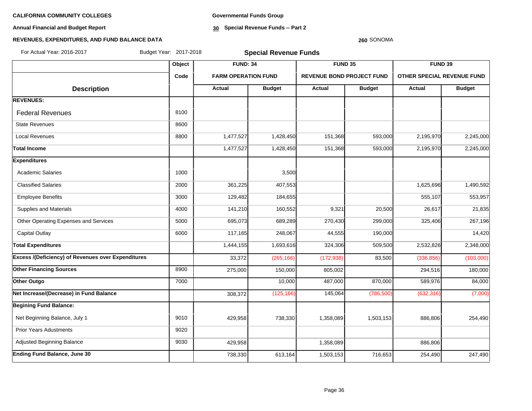**Annual Financial and Budget Report**

**Governmental Funds Group**

**30 Special Revenue Funds -- Part 2**

#### **260** SONOMA

| For Actual Year: 2016-2017                                | Budget Year: 2017-2018 |                            | <b>Special Revenue Funds</b> |                                  |               |                                   |               |
|-----------------------------------------------------------|------------------------|----------------------------|------------------------------|----------------------------------|---------------|-----------------------------------|---------------|
|                                                           | Object                 | <b>FUND: 34</b>            |                              | FUND 35                          |               | FUND 39                           |               |
|                                                           | Code                   | <b>FARM OPERATION FUND</b> |                              | <b>REVENUE BOND PROJECT FUND</b> |               | <b>OTHER SPECIAL REVENUE FUND</b> |               |
| <b>Description</b>                                        |                        | <b>Actual</b>              | <b>Budget</b>                | <b>Actual</b>                    | <b>Budget</b> | Actual                            | <b>Budget</b> |
| <b>REVENUES:</b>                                          |                        |                            |                              |                                  |               |                                   |               |
| <b>Federal Revenues</b>                                   | 8100                   |                            |                              |                                  |               |                                   |               |
| <b>State Revenues</b>                                     | 8600                   |                            |                              |                                  |               |                                   |               |
| <b>Local Revenues</b>                                     | 8800                   | 1,477,527                  | 1,428,450                    | 151,368                          | 593,000       | 2,195,970                         | 2,245,000     |
| <b>Total Income</b>                                       |                        | 1,477,527                  | 1,428,450                    | 151,368                          | 593,000       | 2,195,970                         | 2,245,000     |
| <b>Expenditures</b>                                       |                        |                            |                              |                                  |               |                                   |               |
| <b>Academic Salaries</b>                                  | 1000                   |                            | 3,500                        |                                  |               |                                   |               |
| <b>Classified Salaries</b>                                | 2000                   | 361,225                    | 407,553                      |                                  |               | 1,625,696                         | 1,490,592     |
| <b>Employee Benefits</b>                                  | 3000                   | 129,482                    | 184,655                      |                                  |               | 555,107                           | 553,957       |
| Supplies and Materials                                    | 4000                   | 141,210                    | 160,552                      | 9,321                            | 20,500        | 26,617                            | 21,835        |
| Other Operating Expenses and Services                     | 5000                   | 695,073                    | 689,289                      | 270,430                          | 299,000       | 325,406                           | 267,196       |
| <b>Capital Outlay</b>                                     | 6000                   | 117,165                    | 248,067                      | 44,555                           | 190,000       |                                   | 14,420        |
| <b>Total Expenditures</b>                                 |                        | 1,444,155                  | 1,693,616                    | 324,306                          | 509,500       | 2,532,826                         | 2,348,000     |
| <b>Excess /(Deficiency) of Revenues over Expenditures</b> |                        | 33,372                     | (265, 166)                   | (172, 938)                       | 83,500        | (336, 856)                        | (103,000)     |
| <b>Other Financing Sources</b>                            | 8900                   | 275,000                    | 150,000                      | 805,002                          |               | 294,516                           | 180,000       |
| Other Outgo                                               | 7000                   |                            | 10,000                       | 487,000                          | 870,000       | 589,976                           | 84,000        |
| Net Increase/(Decrease) in Fund Balance                   |                        | 308,372                    | (125, 166)                   | 145,064                          | (786, 500)    | (632, 316)                        | (7,000)       |
| <b>Begining Fund Balance:</b>                             |                        |                            |                              |                                  |               |                                   |               |
| Net Beginning Balance, July 1                             | 9010                   | 429,958                    | 738,330                      | 1,358,089                        | 1,503,153     | 886,806                           | 254,490       |
| <b>Prior Years Adustments</b>                             | 9020                   |                            |                              |                                  |               |                                   |               |
| Adjusted Beginning Balance                                | 9030                   | 429,958                    |                              | 1,358,089                        |               | 886,806                           |               |
| <b>Ending Fund Balance, June 30</b>                       |                        | 738,330                    | 613,164                      | 1,503,153                        | 716,653       | 254,490                           | 247,490       |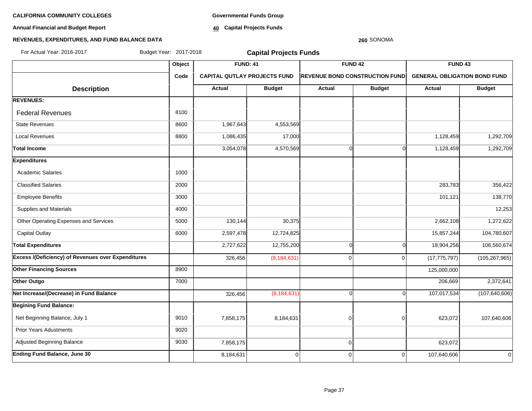**Annual Financial and Budget Report**

**Governmental Funds Group**

**40 Capital Projects Funds**

#### **REVENUES, EXPENDITURES, AND FUND BALANCE DATA**

# **Object FUND: 41 FUND 42 FUND 43 Code CAPITAL QUTLAY PROJECTS FUND REVENUE BOND CONSTRUCTION FUND GENERAL OBLIGATION BOND FUND**  $\begin{array}{|c|c|c|c|c|c|}\n\hline\n\textbf{A} & \textbf{A} & \textbf{B} & \textbf{B} & \textbf{B} & \textbf{B} & \textbf{B} & \textbf{B} & \textbf{B} & \textbf{B} & \textbf{B} & \textbf{B} & \textbf{B} & \textbf{B} & \textbf{B} & \textbf{B} & \textbf{B} & \textbf{B} & \textbf{B} & \textbf{B} & \textbf{B} & \textbf{B} & \textbf{B} & \textbf{B} & \textbf{B} & \textbf{B} & \textbf{B} & \textbf{B} & \$ **REVENUES:** Federal Revenues 8100 State Revenues 8600 1,967,643 4,553,569 Local Revenues 1,086,435 17,000 1,128,459 1,292,709 Total Income 3,054,078| 4,570,569| 0 1,128,459| 1,292,709 **Expenditures** Academic Salaries 10000 Classified Salaries 2000 283,783 356,422 Employee Benefits 3000 101,121 138,770 Supplies and Materials **12,253 12,253** Other Operating Expenses and Services **5000** 130,144 30,375 30,375 2,662,108 30,375 3,662,108 30,375 3,662,108 1,272,622 Capital Outlay 6000 2,597,478 12,724,825 15,857,244 104,780,607 **Total Expenditures** 2,727,622 12,755,200 0 0 18,904,256 106,560,674 **Excess /(Deficiency) of Revenues over Expenditures** (8.184,631) (8,184,631) (8,184,631) (326,456 (8,184,631) (17,775,797) (105,267,965) **Other Financing Sources 8900 125,000,000 125,000,000 125,000,000 125,000,000 125,000,000 125,000,000 125,000,000 125,000,000 125,000,000 125,000,000 125,000,000 125,000,000 125,000,000 125,000,000 125,000,000 Other Outgo** 7000 206,669 2,372,641 **Net Increase/(Decrease) in Fund Balance 1201,640,606 126,456** (8,184,631) **126,456** (8,184,631) **126,640,606** (107,017,534 (107,640,606) **Begining Fund Balance:** Net Beginning Balance, July 1 9010 | 9010 | 7,858,175 | 8,184,631 | 0 0 0 0 0 0 0 0 0 0 0 0 0 0 107,640,606 Prior Years Adustments **19020** Adjusted Beginning Balance **1988** 823,072 **858,175** 623,072 623,072 633,072 623,072 **Ending Fund Balance, June 30** 8 **107,640,606 107,640,606 107,640,606 107,640,606** For Actual Year: 2016-2017 Budget Year: 2017-2018 **Capital Projects Funds**

**260** SONOMA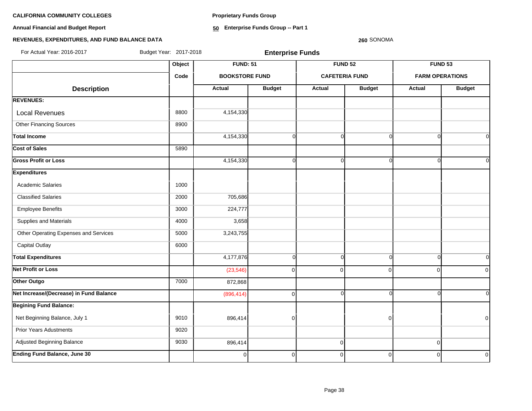**Proprietary Funds Group**

**Annual Financial and Budget Report**

**50 Enterprise Funds Group -- Part 1**

# **REVENUES, EXPENDITURES, AND FUND BALANCE DATA**

**260** SONOMA

| For Actual Year: 2016-2017              | Budget Year: 2017-2018 |                       | <b>Enterprise Funds</b>           |                       |                |             |                                                                                                    |
|-----------------------------------------|------------------------|-----------------------|-----------------------------------|-----------------------|----------------|-------------|----------------------------------------------------------------------------------------------------|
|                                         | Object                 |                       | <b>FUND: 51</b><br><b>FUND 52</b> |                       |                |             |                                                                                                    |
|                                         | Code                   | <b>BOOKSTORE FUND</b> |                                   | <b>CAFETERIA FUND</b> |                |             | <b>FUND 53</b><br><b>FARM OPERATIONS</b><br><b>Budget</b><br>$\Omega$<br>U<br>ΩI<br>0l<br>$\Omega$ |
| <b>Description</b>                      |                        | <b>Actual</b>         | <b>Budget</b>                     | <b>Actual</b>         | <b>Budget</b>  | Actual      |                                                                                                    |
| <b>REVENUES:</b>                        |                        |                       |                                   |                       |                |             |                                                                                                    |
| <b>Local Revenues</b>                   | 8800                   | 4,154,330             |                                   |                       |                |             |                                                                                                    |
| <b>Other Financing Sources</b>          | 8900                   |                       |                                   |                       |                |             |                                                                                                    |
| <b>Total Income</b>                     |                        | 4,154,330             | 0                                 | $\Omega$              | n              |             |                                                                                                    |
| <b>Cost of Sales</b>                    | 5890                   |                       |                                   |                       |                |             |                                                                                                    |
| <b>Gross Profit or Loss</b>             |                        | 4,154,330             | ი                                 | $\Omega$              |                |             |                                                                                                    |
| <b>Expenditures</b>                     |                        |                       |                                   |                       |                |             |                                                                                                    |
| <b>Academic Salaries</b>                | 1000                   |                       |                                   |                       |                |             |                                                                                                    |
| <b>Classified Salaries</b>              | 2000                   | 705,686               |                                   |                       |                |             |                                                                                                    |
| <b>Employee Benefits</b>                | 3000                   | 224,777               |                                   |                       |                |             |                                                                                                    |
| Supplies and Materials                  | 4000                   | 3,658                 |                                   |                       |                |             |                                                                                                    |
| Other Operating Expenses and Services   | 5000                   | 3,243,755             |                                   |                       |                |             |                                                                                                    |
| <b>Capital Outlay</b>                   | 6000                   |                       |                                   |                       |                |             |                                                                                                    |
| <b>Total Expenditures</b>               |                        | 4,177,876             | O                                 | $\Omega$              | $\Omega$       |             |                                                                                                    |
| <b>Net Profit or Loss</b>               |                        | (23, 546)             | $\Omega$                          | $\overline{0}$        | 0              | $\mathbf 0$ | $\overline{0}$                                                                                     |
| Other Outgo                             | 7000                   | 872,868               |                                   |                       |                |             |                                                                                                    |
| Net Increase/(Decrease) in Fund Balance |                        | (896, 414)            | $\Omega$                          | $\overline{0}$        |                |             | <sup>ol</sup>                                                                                      |
| <b>Begining Fund Balance:</b>           |                        |                       |                                   |                       |                |             |                                                                                                    |
| Net Beginning Balance, July 1           | 9010                   | 896,414               | $\Omega$                          |                       | ŋ              |             | 0                                                                                                  |
| <b>Prior Years Adustments</b>           | 9020                   |                       |                                   |                       |                |             |                                                                                                    |
| Adjusted Beginning Balance              | 9030                   | 896,414               |                                   | 0                     |                | $\mathbf 0$ |                                                                                                    |
| Ending Fund Balance, June 30            |                        | οI                    | $\Omega$                          | $\overline{0}$        | $\overline{0}$ | $\Omega$    | $\mathbf 0$                                                                                        |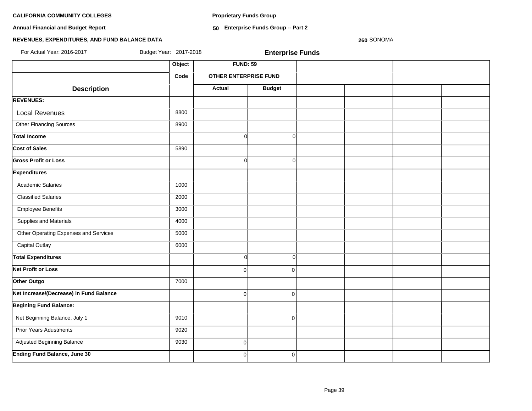**Proprietary Funds Group**

**Annual Financial and Budget Report**

**50 Enterprise Funds Group -- Part 2**

# **REVENUES, EXPENDITURES, AND FUND BALANCE DATA**

**260** SONOMA

| For Actual Year: 2016-2017              | Budget Year: 2017-2018 |                              | <b>Enterprise Funds</b> |  |  |
|-----------------------------------------|------------------------|------------------------------|-------------------------|--|--|
|                                         | Object                 | <b>FUND: 59</b>              |                         |  |  |
|                                         | Code                   | <b>OTHER ENTERPRISE FUND</b> |                         |  |  |
| <b>Description</b>                      |                        | <b>Actual</b>                | <b>Budget</b>           |  |  |
| <b>REVENUES:</b>                        |                        |                              |                         |  |  |
| <b>Local Revenues</b>                   | 8800                   |                              |                         |  |  |
| <b>Other Financing Sources</b>          | 8900                   |                              |                         |  |  |
| <b>Total Income</b>                     |                        | $\Omega$                     | $\Omega$                |  |  |
| <b>Cost of Sales</b>                    | 5890                   |                              |                         |  |  |
| <b>Gross Profit or Loss</b>             |                        | $\Omega$                     | $\Omega$                |  |  |
| <b>Expenditures</b>                     |                        |                              |                         |  |  |
| <b>Academic Salaries</b>                | 1000                   |                              |                         |  |  |
| <b>Classified Salaries</b>              | 2000                   |                              |                         |  |  |
| <b>Employee Benefits</b>                | 3000                   |                              |                         |  |  |
| Supplies and Materials                  | 4000                   |                              |                         |  |  |
| Other Operating Expenses and Services   | 5000                   |                              |                         |  |  |
| <b>Capital Outlay</b>                   | 6000                   |                              |                         |  |  |
| <b>Total Expenditures</b>               |                        | $\Omega$                     | $\Omega$                |  |  |
| <b>Net Profit or Loss</b>               |                        | $\Omega$                     | $\Omega$                |  |  |
| Other Outgo                             | 7000                   |                              |                         |  |  |
| Net Increase/(Decrease) in Fund Balance |                        | $\Omega$                     | $\Omega$                |  |  |
| <b>Begining Fund Balance:</b>           |                        |                              |                         |  |  |
| Net Beginning Balance, July 1           | 9010                   |                              | $\overline{0}$          |  |  |
| <b>Prior Years Adustments</b>           | 9020                   |                              |                         |  |  |
| Adjusted Beginning Balance              | 9030                   | $\overline{0}$               |                         |  |  |
| <b>Ending Fund Balance, June 30</b>     |                        | $\mathbf{0}$                 | $\overline{0}$          |  |  |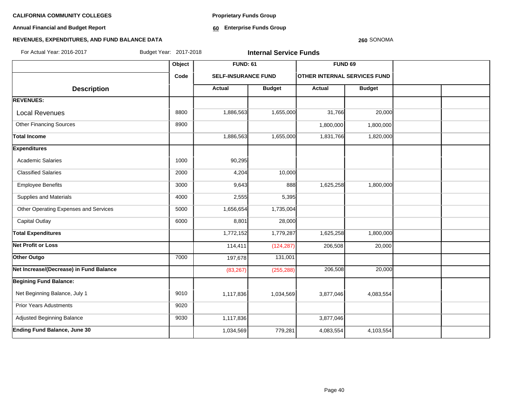**Annual Financial and Budget Report**

**Proprietary Funds Group**

**60 Enterprise Funds Group** 

#### **260** SONOMA

| Budget Year: 2017-2018<br>For Actual Year: 2016-2017 |        |                            | <b>Internal Service Funds</b> |                                     |               |  |
|------------------------------------------------------|--------|----------------------------|-------------------------------|-------------------------------------|---------------|--|
|                                                      | Object | <b>FUND: 61</b>            |                               | <b>FUND 69</b>                      |               |  |
|                                                      | Code   | <b>SELF-INSURANCE FUND</b> |                               | <b>OTHER INTERNAL SERVICES FUND</b> |               |  |
| <b>Description</b>                                   |        | <b>Actual</b>              | <b>Budget</b>                 | Actual                              | <b>Budget</b> |  |
| <b>REVENUES:</b>                                     |        |                            |                               |                                     |               |  |
| <b>Local Revenues</b>                                | 8800   | 1,886,563                  | 1,655,000                     | 31,766                              | 20,000        |  |
| <b>Other Financing Sources</b>                       | 8900   |                            |                               | 1,800,000                           | 1,800,000     |  |
| Total Income                                         |        | 1,886,563                  | 1,655,000                     | 1,831,766                           | 1,820,000     |  |
| <b>Expenditures</b>                                  |        |                            |                               |                                     |               |  |
| <b>Academic Salaries</b>                             | 1000   | 90,295                     |                               |                                     |               |  |
| <b>Classified Salaries</b>                           | 2000   | 4,204                      | 10,000                        |                                     |               |  |
| <b>Employee Benefits</b>                             | 3000   | 9,643                      | 888                           | 1,625,258                           | 1,800,000     |  |
| <b>Supplies and Materials</b>                        | 4000   | 2,555                      | 5,395                         |                                     |               |  |
| Other Operating Expenses and Services                | 5000   | 1,656,654                  | 1,735,004                     |                                     |               |  |
| <b>Capital Outlay</b>                                | 6000   | 8,801                      | 28,000                        |                                     |               |  |
| <b>Total Expenditures</b>                            |        | 1,772,152                  | 1,779,287                     | 1,625,258                           | 1,800,000     |  |
| <b>Net Profit or Loss</b>                            |        | 114,411                    | (124, 287)                    | 206,508                             | 20,000        |  |
| Other Outgo                                          | 7000   | 197,678                    | 131,001                       |                                     |               |  |
| Net Increase/(Decrease) in Fund Balance              |        | (83, 267)                  | (255, 288)                    | 206,508                             | 20,000        |  |
| <b>Begining Fund Balance:</b>                        |        |                            |                               |                                     |               |  |
| Net Beginning Balance, July 1                        | 9010   | 1,117,836                  | 1,034,569                     | 3,877,046                           | 4,083,554     |  |
| <b>Prior Years Adustments</b>                        | 9020   |                            |                               |                                     |               |  |
| Adjusted Beginning Balance                           | 9030   | 1,117,836                  |                               | 3,877,046                           |               |  |
| <b>Ending Fund Balance, June 30</b>                  |        | 1,034,569                  | 779,281                       | 4,083,554                           | 4,103,554     |  |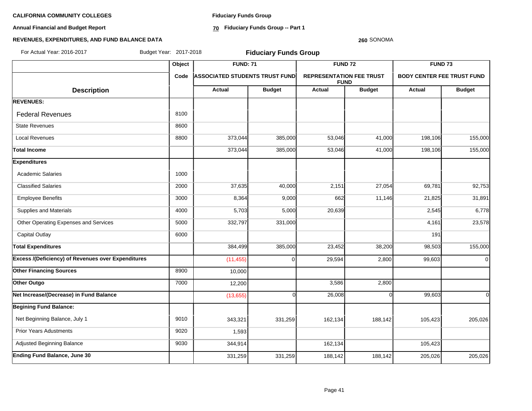**Annual Financial and Budget Report**

**Fiduciary Funds Group**

**70 Fiduciary Funds Group -- Part 1**

#### **260** SONOMA

| For Actual Year: 2016-2017                                | Budget Year: 2017-2018 |                                       | <b>Fiduciary Funds Group</b> |                                                |               |                                   |                                                                                                                             |
|-----------------------------------------------------------|------------------------|---------------------------------------|------------------------------|------------------------------------------------|---------------|-----------------------------------|-----------------------------------------------------------------------------------------------------------------------------|
|                                                           | Object                 | <b>FUND: 71</b>                       |                              | FUND <sub>72</sub>                             |               | <b>FUND 73</b>                    |                                                                                                                             |
|                                                           | Code                   | <b>ASSOCIATED STUDENTS TRUST FUND</b> |                              | <b>REPRESENTATION FEE TRUST</b><br><b>FUND</b> |               | <b>BODY CENTER FEE TRUST FUND</b> |                                                                                                                             |
| <b>Description</b>                                        |                        | Actual                                | <b>Budget</b>                | <b>Actual</b>                                  | <b>Budget</b> | Actual                            | <b>Budget</b><br>155,000<br>155,000<br>92,753<br>31,891<br>6,778<br>23,578<br>155,000<br>$\mathbf 0$<br>$\Omega$<br>205,026 |
| <b>REVENUES:</b>                                          |                        |                                       |                              |                                                |               |                                   |                                                                                                                             |
| <b>Federal Revenues</b>                                   | 8100                   |                                       |                              |                                                |               |                                   |                                                                                                                             |
| <b>State Revenues</b>                                     | 8600                   |                                       |                              |                                                |               |                                   |                                                                                                                             |
| <b>Local Revenues</b>                                     | 8800                   | 373,044                               | 385,000                      | 53,046                                         | 41,000        | 198,106                           |                                                                                                                             |
| <b>Total Income</b>                                       |                        | 373,044                               | 385,000                      | 53,046                                         | 41,000        | 198,106                           |                                                                                                                             |
| <b>Expenditures</b>                                       |                        |                                       |                              |                                                |               |                                   |                                                                                                                             |
| <b>Academic Salaries</b>                                  | 1000                   |                                       |                              |                                                |               |                                   |                                                                                                                             |
| <b>Classified Salaries</b>                                | 2000                   | 37,635                                | 40,000                       | 2,151                                          | 27,054        | 69,781                            |                                                                                                                             |
| <b>Employee Benefits</b>                                  | 3000                   | 8,364                                 | 9,000                        | 662                                            | 11,146        | 21,825                            |                                                                                                                             |
| Supplies and Materials                                    | 4000                   | 5,703                                 | 5,000                        | 20,639                                         |               | 2,545                             |                                                                                                                             |
| Other Operating Expenses and Services                     | 5000                   | 332,797                               | 331,000                      |                                                |               | 4,161                             |                                                                                                                             |
| <b>Capital Outlay</b>                                     | 6000                   |                                       |                              |                                                |               | 191                               |                                                                                                                             |
| <b>Total Expenditures</b>                                 |                        | 384,499                               | 385,000                      | 23,452                                         | 38,200        | 98,503                            |                                                                                                                             |
| <b>Excess /(Deficiency) of Revenues over Expenditures</b> |                        | (11, 455)                             | $\Omega$                     | 29,594                                         | 2,800         | 99,603                            |                                                                                                                             |
| <b>Other Financing Sources</b>                            | 8900                   | 10,000                                |                              |                                                |               |                                   |                                                                                                                             |
| Other Outgo                                               | 7000                   | 12,200                                |                              | 3,586                                          | 2,800         |                                   |                                                                                                                             |
| Net Increase/(Decrease) in Fund Balance                   |                        | (13, 655)                             | $\Omega$                     | 26,008                                         | $\Omega$      | 99,603                            |                                                                                                                             |
| <b>Begining Fund Balance:</b>                             |                        |                                       |                              |                                                |               |                                   |                                                                                                                             |
| Net Beginning Balance, July 1                             | 9010                   | 343,321                               | 331,259                      | 162,134                                        | 188,142       | 105,423                           |                                                                                                                             |
| <b>Prior Years Adustments</b>                             | 9020                   | 1,593                                 |                              |                                                |               |                                   |                                                                                                                             |
| Adjusted Beginning Balance                                | 9030                   | 344,914                               |                              | 162,134                                        |               | 105,423                           |                                                                                                                             |
| <b>Ending Fund Balance, June 30</b>                       |                        | 331,259                               | 331,259                      | 188,142                                        | 188,142       | 205,026                           | 205,026                                                                                                                     |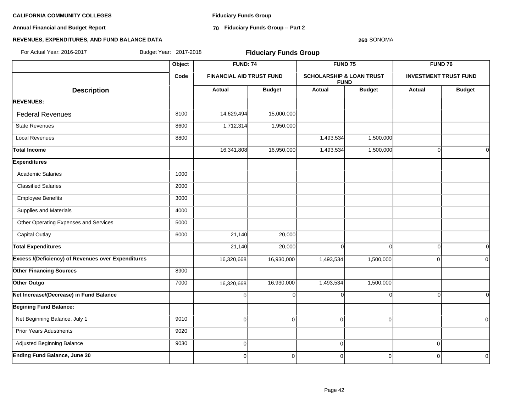**Annual Financial and Budget Report**

**Fiduciary Funds Group**

**70 Fiduciary Funds Group -- Part 2**

#### **260** SONOMA

| For Actual Year: 2016-2017                                | Budget Year: 2017-2018 | <b>Fiduciary Funds Group</b>    |                |                                     |                |             |                              |  |  |
|-----------------------------------------------------------|------------------------|---------------------------------|----------------|-------------------------------------|----------------|-------------|------------------------------|--|--|
|                                                           |                        | <b>FUND: 74</b>                 |                |                                     | <b>FUND 75</b> |             | <b>FUND 76</b>               |  |  |
|                                                           | Code                   | <b>FINANCIAL AID TRUST FUND</b> |                | <b>SCHOLARSHIP &amp; LOAN TRUST</b> | <b>FUND</b>    |             | <b>INVESTMENT TRUST FUND</b> |  |  |
| <b>Description</b>                                        |                        | <b>Actual</b>                   | <b>Budget</b>  | Actual                              | <b>Budget</b>  | Actual      | <b>Budget</b>                |  |  |
| <b>REVENUES:</b>                                          |                        |                                 |                |                                     |                |             |                              |  |  |
| <b>Federal Revenues</b>                                   | 8100                   | 14,629,494                      | 15,000,000     |                                     |                |             |                              |  |  |
| <b>State Revenues</b>                                     | 8600                   | 1,712,314                       | 1,950,000      |                                     |                |             |                              |  |  |
| <b>Local Revenues</b>                                     | 8800                   |                                 |                | 1,493,534                           | 1,500,000      |             |                              |  |  |
| <b>Total Income</b>                                       |                        | 16,341,808                      | 16,950,000     | 1,493,534                           | 1,500,000      | $\Omega$    | $\overline{0}$               |  |  |
| <b>Expenditures</b>                                       |                        |                                 |                |                                     |                |             |                              |  |  |
| <b>Academic Salaries</b>                                  | 1000                   |                                 |                |                                     |                |             |                              |  |  |
| <b>Classified Salaries</b>                                | 2000                   |                                 |                |                                     |                |             |                              |  |  |
| <b>Employee Benefits</b>                                  | 3000                   |                                 |                |                                     |                |             |                              |  |  |
| Supplies and Materials                                    | 4000                   |                                 |                |                                     |                |             |                              |  |  |
| Other Operating Expenses and Services                     | 5000                   |                                 |                |                                     |                |             |                              |  |  |
| <b>Capital Outlay</b>                                     | 6000                   | 21,140                          | 20,000         |                                     |                |             |                              |  |  |
| <b>Total Expenditures</b>                                 |                        | 21,140                          | 20,000         | $\Omega$                            | $\Omega$       | $\Omega$    | $\overline{0}$               |  |  |
| <b>Excess /(Deficiency) of Revenues over Expenditures</b> |                        | 16,320,668                      | 16,930,000     | 1,493,534                           | 1,500,000      | $\Omega$    | $\overline{0}$               |  |  |
| <b>Other Financing Sources</b>                            | 8900                   |                                 |                |                                     |                |             |                              |  |  |
| Other Outgo                                               | 7000                   | 16,320,668                      | 16,930,000     | 1,493,534                           | 1,500,000      |             |                              |  |  |
| Net Increase/(Decrease) in Fund Balance                   |                        | $\Omega$                        | O              |                                     |                |             | $\Omega$                     |  |  |
| <b>Begining Fund Balance:</b>                             |                        |                                 |                |                                     |                |             |                              |  |  |
| Net Beginning Balance, July 1                             | 9010                   | $\Omega$                        | $\Omega$       | $\Omega$                            | $\Omega$       |             | $\overline{0}$               |  |  |
| <b>Prior Years Adustments</b>                             | 9020                   |                                 |                |                                     |                |             |                              |  |  |
| Adjusted Beginning Balance                                | 9030                   | $\overline{0}$                  |                | $\pmb{0}$                           |                | $\mathbf 0$ |                              |  |  |
| <b>Ending Fund Balance, June 30</b>                       |                        | $\overline{0}$                  | $\overline{0}$ | 0                                   | $\overline{0}$ | $\mathbf 0$ | $\overline{0}$               |  |  |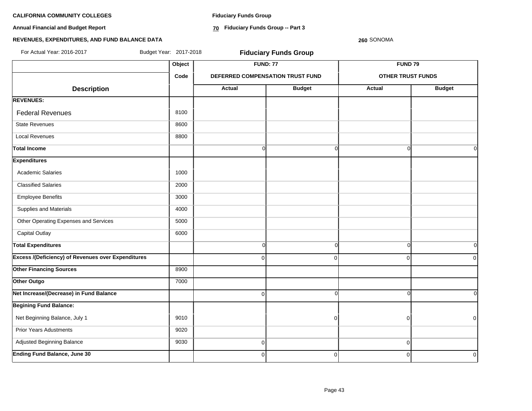**Annual Financial and Budget Report**

**Fiduciary Funds Group**

**70 Fiduciary Funds Group -- Part 3**

### **260** SONOMA

| For Actual Year: 2016-2017                                | Budget Year: 2017-2018 |                | <b>Fiduciary Funds Group</b>     |                          |               |
|-----------------------------------------------------------|------------------------|----------------|----------------------------------|--------------------------|---------------|
|                                                           | Object                 |                | <b>FUND: 77</b>                  | FUND <sub>79</sub>       |               |
|                                                           | Code                   |                | DEFERRED COMPENSATION TRUST FUND | <b>OTHER TRUST FUNDS</b> |               |
| <b>Description</b>                                        |                        | Actual         | <b>Budget</b>                    | <b>Actual</b>            | <b>Budget</b> |
| <b>REVENUES:</b>                                          |                        |                |                                  |                          |               |
| <b>Federal Revenues</b>                                   | 8100                   |                |                                  |                          |               |
| <b>State Revenues</b>                                     | 8600                   |                |                                  |                          |               |
| <b>Local Revenues</b>                                     | 8800                   |                |                                  |                          |               |
| <b>Total Income</b>                                       |                        | $\Omega$       | $\Omega$                         | $\Omega$                 | 0l            |
| <b>Expenditures</b>                                       |                        |                |                                  |                          |               |
| <b>Academic Salaries</b>                                  | 1000                   |                |                                  |                          |               |
| <b>Classified Salaries</b>                                | 2000                   |                |                                  |                          |               |
| <b>Employee Benefits</b>                                  | 3000                   |                |                                  |                          |               |
| Supplies and Materials                                    | 4000                   |                |                                  |                          |               |
| Other Operating Expenses and Services                     | 5000                   |                |                                  |                          |               |
| Capital Outlay                                            | 6000                   |                |                                  |                          |               |
| <b>Total Expenditures</b>                                 |                        | <sub>0</sub>   | $\overline{0}$                   | $\Omega$                 | 0l            |
| <b>Excess /(Deficiency) of Revenues over Expenditures</b> |                        | $\Omega$       | $\Omega$                         | $\mathbf 0$              | 0             |
| <b>Other Financing Sources</b>                            | 8900                   |                |                                  |                          |               |
| Other Outgo                                               | 7000                   |                |                                  |                          |               |
| Net Increase/(Decrease) in Fund Balance                   |                        | $\Omega$       | $\overline{0}$                   | $\Omega$                 | οI            |
| <b>Begining Fund Balance:</b>                             |                        |                |                                  |                          |               |
| Net Beginning Balance, July 1                             | 9010                   |                | $\Omega$                         | $\overline{0}$           | $\mathbf 0$   |
| <b>Prior Years Adustments</b>                             | 9020                   |                |                                  |                          |               |
| Adjusted Beginning Balance                                | 9030                   | $\overline{0}$ |                                  | $\mathbf 0$              |               |
| <b>Ending Fund Balance, June 30</b>                       |                        | $\mathbf 0$    | $\overline{0}$                   | $\mathbf 0$              | $\mathbf 0$   |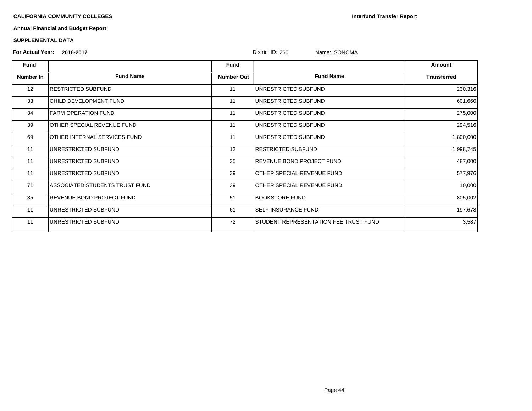**Interfund Transfer Report**

# **Annual Financial and Budget Report**

### **SUPPLEMENTAL DATA**

# **For Actual Year: 2016-2017** District ID: 260 Name: SONOMA

|             |                                  |                   | PIULIUL ID. ZUU<br><b>NATILE.</b> JUINUINA |                    |
|-------------|----------------------------------|-------------------|--------------------------------------------|--------------------|
| <b>Fund</b> |                                  | Fund              |                                            | Amount             |
| Number In   | <b>Fund Name</b>                 | <b>Number Out</b> | <b>Fund Name</b>                           | <b>Transferred</b> |
| 12          | RESTRICTED SUBFUND               | 11                | UNRESTRICTED SUBFUND                       | 230,316            |
| 33          | CHILD DEVELOPMENT FUND           | 11                | UNRESTRICTED SUBFUND                       | 601,660            |
| 34          | FARM OPERATION FUND              | 11                | UNRESTRICTED SUBFUND                       | 275,000            |
| 39          | OTHER SPECIAL REVENUE FUND       | 11                | UNRESTRICTED SUBFUND                       | 294,516            |
| 69          | OTHER INTERNAL SERVICES FUND     | 11                | UNRESTRICTED SUBFUND                       | 1,800,000          |
| 11          | UNRESTRICTED SUBFUND             | 12                | RESTRICTED SUBFUND                         | 1,998,745          |
| 11          | UNRESTRICTED SUBFUND             | 35                | REVENUE BOND PROJECT FUND                  | 487,000            |
| 11          | UNRESTRICTED SUBFUND             | 39                | OTHER SPECIAL REVENUE FUND                 | 577,976            |
| 71          | ASSOCIATED STUDENTS TRUST FUND   | 39                | OTHER SPECIAL REVENUE FUND                 | 10,000             |
| 35          | <b>REVENUE BOND PROJECT FUND</b> | 51                | <b>BOOKSTORE FUND</b>                      | 805,002            |
| 11          | UNRESTRICTED SUBFUND             | 61                | <b>SELF-INSURANCE FUND</b>                 | 197,678            |
| 11          | UNRESTRICTED SUBFUND             | 72                | STUDENT REPRESENTATION FEE TRUST FUND      | 3,587              |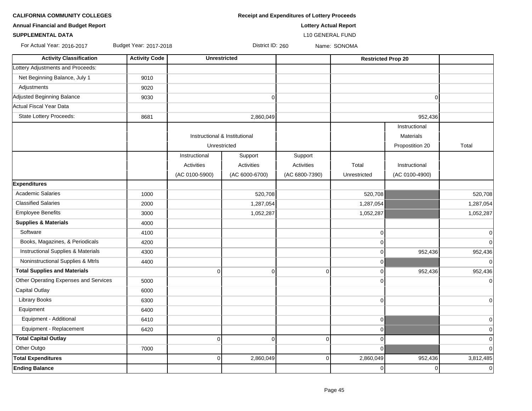| <b>Annual Financial and Budget Report</b> |                        |                               |                   | <b>Lottery Actual Report</b> |                           |                  |                |
|-------------------------------------------|------------------------|-------------------------------|-------------------|------------------------------|---------------------------|------------------|----------------|
| <b>SUPPLEMENTAL DATA</b>                  |                        |                               |                   | <b>L10 GENERAL FUND</b>      |                           |                  |                |
| For Actual Year: 2016-2017                | Budget Year: 2017-2018 |                               | District ID: 260  |                              | Name: SONOMA              |                  |                |
| <b>Activity Classification</b>            | <b>Activity Code</b>   | <b>Unrestricted</b>           |                   |                              | <b>Restricted Prop 20</b> |                  |                |
| Lottery Adjustments and Proceeds:         |                        |                               |                   |                              |                           |                  |                |
| Net Beginning Balance, July 1             | 9010                   |                               |                   |                              |                           |                  |                |
| Adjustments                               | 9020                   |                               |                   |                              |                           |                  |                |
| Adjusted Beginning Balance                | 9030                   |                               | $\Omega$          |                              |                           | $\Omega$         |                |
| Actual Fiscal Year Data                   |                        |                               |                   |                              |                           |                  |                |
| <b>State Lottery Proceeds:</b>            | 8681                   |                               | 2,860,049         |                              |                           | 952,436          |                |
|                                           |                        |                               |                   |                              |                           | Instructional    |                |
|                                           |                        | Instructional & Institutional |                   |                              |                           | <b>Materials</b> |                |
|                                           |                        | Unrestricted                  |                   |                              |                           | Propostition 20  | Total          |
|                                           |                        | Instructional                 | Support           | Support                      |                           |                  |                |
|                                           |                        | <b>Activities</b>             | <b>Activities</b> | Activities                   | Total                     | Instructional    |                |
|                                           |                        | (AC 0100-5900)                | (AC 6000-6700)    | (AC 6800-7390)               | Unrestricted              | (AC 0100-4900)   |                |
| <b>Expenditures</b>                       |                        |                               |                   |                              |                           |                  |                |
| <b>Academic Salaries</b>                  | 1000                   |                               | 520,708           |                              | 520,708                   |                  | 520,708        |
| <b>Classified Salaries</b>                | 2000                   |                               | 1,287,054         |                              | 1,287,054                 |                  | 1,287,054      |
| <b>Employee Benefits</b>                  | 3000                   |                               | 1,052,287         |                              | 1,052,287                 |                  | 1,052,287      |
| <b>Supplies &amp; Materials</b>           | 4000                   |                               |                   |                              |                           |                  |                |
| Software                                  | 4100                   |                               |                   |                              | 0                         |                  | $\overline{0}$ |
| Books, Magazines, & Periodicals           | 4200                   |                               |                   |                              | 0                         |                  | $\Omega$       |
| Instructional Supplies & Materials        | 4300                   |                               |                   |                              | $\pmb{0}$                 | 952,436          | 952,436        |
| Noninstructional Supplies & Mtrls         | 4400                   |                               |                   |                              | $\mathbf 0$               |                  | $\Omega$       |
| <b>Total Supplies and Materials</b>       |                        | $\overline{0}$                | $\mathbf 0$       | $\mathbf 0$                  | 0                         | 952,436          | 952,436        |
| Other Operating Expenses and Services     | 5000                   |                               |                   |                              | 0                         |                  | $\overline{0}$ |
| <b>Capital Outlay</b>                     | 6000                   |                               |                   |                              |                           |                  |                |
| <b>Library Books</b>                      | 6300                   |                               |                   |                              | 0                         |                  | $\overline{0}$ |
| Equipment                                 | 6400                   |                               |                   |                              |                           |                  |                |
| Equipment - Additional                    | 6410                   |                               |                   |                              | $\mathbf 0$               |                  | $\overline{0}$ |
| Equipment - Replacement                   | 6420                   |                               |                   |                              | $\mathbf 0$               |                  | $\overline{0}$ |
| <b>Total Capital Outlay</b>               |                        | $\overline{0}$                | $\mathbf 0$       | $\overline{0}$               | 0                         |                  | $\Omega$       |
| Other Outgo                               | 7000                   |                               |                   |                              | $\Omega$                  |                  | $\Omega$       |
| <b>Total Expenditures</b>                 |                        | $\overline{0}$                | 2,860,049         | $\overline{0}$               | 2,860,049                 | 952,436          | 3,812,485      |
| <b>Ending Balance</b>                     |                        |                               |                   |                              | 0                         | $\overline{0}$   | $\overline{0}$ |

**CALIFORNIA COMMUNITY COLLEGES Receipt and Expenditures of Lottery Proceeds**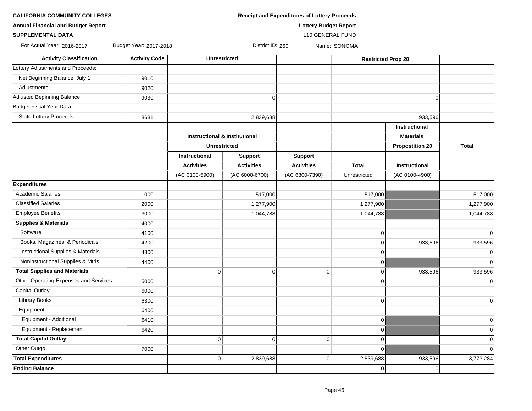| <b>CALIFORNIA COMMUNITY COLLEGES</b> | <b>Receipt and Expenditures of Lottery Proceeds</b> |
|--------------------------------------|-----------------------------------------------------|
|--------------------------------------|-----------------------------------------------------|

**SUPPLEMENTAL DATA** L10 GENERAL FUND

**Annual Financial and Budget Report Lottery Budget Report**

For Actual Year: 2016-2017 Budget Year: 2017-2018 District ID: 260 Name: SONOMA

| <b>Activity Classification</b>                | <b>Activity Code</b> | <b>Unrestricted</b>                      |                   |                   | <b>Restricted Prop 20</b> |                        |                |
|-----------------------------------------------|----------------------|------------------------------------------|-------------------|-------------------|---------------------------|------------------------|----------------|
| Lottery Adjustments and Proceeds:             |                      |                                          |                   |                   |                           |                        |                |
| Net Beginning Balance, July 1                 | 9010                 |                                          |                   |                   |                           |                        |                |
| Adjustments                                   | 9020                 |                                          |                   |                   |                           |                        |                |
| Adjusted Beginning Balance                    | 9030                 |                                          | $\mathbf 0$       |                   |                           | $\Omega$               |                |
| Budget Fiscal Year Data                       |                      |                                          |                   |                   |                           |                        |                |
| <b>State Lottery Proceeds:</b>                | 8681                 |                                          | 2,839,688         |                   |                           | 933,596                |                |
|                                               |                      |                                          |                   |                   |                           | Instructional          |                |
|                                               |                      | <b>Instructional &amp; Institutional</b> |                   |                   |                           | <b>Materials</b>       |                |
|                                               |                      | <b>Unrestricted</b>                      |                   |                   |                           | <b>Propostition 20</b> | <b>Total</b>   |
|                                               |                      | Instructional                            | <b>Support</b>    | <b>Support</b>    |                           |                        |                |
|                                               |                      | <b>Activities</b>                        | <b>Activities</b> | <b>Activities</b> | Total                     | <b>Instructional</b>   |                |
|                                               |                      | (AC 0100-5900)                           | (AC 6000-6700)    | (AC 6800-7390)    | Unrestricted              | (AC 0100-4900)         |                |
| <b>Expenditures</b>                           |                      |                                          |                   |                   |                           |                        |                |
| <b>Academic Salaries</b>                      | 1000                 |                                          | 517,000           |                   | 517,000                   |                        | 517,000        |
| <b>Classified Salaries</b>                    | 2000                 |                                          | 1,277,900         |                   | 1,277,900                 |                        | 1,277,900      |
| <b>Employee Benefits</b>                      | 3000                 |                                          | 1,044,788         |                   | 1,044,788                 |                        | 1,044,788      |
| <b>Supplies &amp; Materials</b>               | 4000                 |                                          |                   |                   |                           |                        |                |
| Software                                      | 4100                 |                                          |                   |                   | $\overline{0}$            |                        | $\Omega$       |
| Books, Magazines, & Periodicals               | 4200                 |                                          |                   |                   | $\Omega$                  | 933,596                | 933,596        |
| <b>Instructional Supplies &amp; Materials</b> | 4300                 |                                          |                   |                   | $\Omega$                  |                        | 0              |
| Noninstructional Supplies & Mtrls             | 4400                 |                                          |                   |                   | $\overline{0}$            |                        | $\overline{0}$ |
| <b>Total Supplies and Materials</b>           |                      | $\mathbf 0$                              | $\mathbf 0$       | 0                 | $\overline{0}$            | 933,596                | 933,596        |
| Other Operating Expenses and Services         | 5000                 |                                          |                   |                   | $\Omega$                  |                        | $\Omega$       |
| Capital Outlay                                | 6000                 |                                          |                   |                   |                           |                        |                |
| <b>Library Books</b>                          | 6300                 |                                          |                   |                   | $\overline{0}$            |                        | $\overline{0}$ |
| Equipment                                     | 6400                 |                                          |                   |                   |                           |                        |                |
| Equipment - Additional                        | 6410                 |                                          |                   |                   | $\overline{0}$            |                        | $\overline{0}$ |
| Equipment - Replacement                       | 6420                 |                                          |                   |                   | $\overline{0}$            |                        | $\mathbf 0$    |
| <b>Total Capital Outlay</b>                   |                      | $\mathbf{0}$                             | $\mathbf 0$       | $\overline{0}$    | $\overline{0}$            |                        | $\mathbf 0$    |
| Other Outgo                                   | 7000                 |                                          |                   |                   | $\overline{0}$            |                        | $\Omega$       |
| <b>Total Expenditures</b>                     |                      | $\mathbf 0$                              | 2,839,688         | 0                 | 2,839,688                 | 933,596                | 3,773,284      |
| <b>Ending Balance</b>                         |                      |                                          |                   |                   | $\Omega$                  | $\Omega$               |                |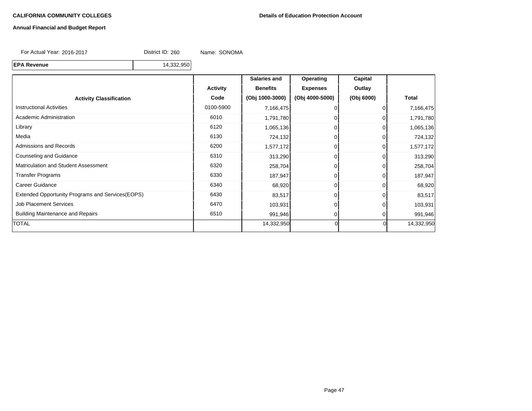#### **Annual Financial and Budget Report**

For Actual Year: 2016-2017 District ID: 260 Name: SONOMA

**EPA Revenue** 14,332,950

**Salaries and Operating Capital** Activity | Benefits | Expenses | Outlay **Activity Classification Code (Obj 1000-3000) (Obj 4000-5000) (Obj 6000) Total** Instructional Activities 0100-5900 7,166,475 0 0 7,166,475 Academic Administration 1,791,780 0 0 1,791,780 0 0 1,791,780 0 1,791,780 0 1,791,780 Library 6120 1,065,136 0 0 1,065,136 Media 6130 724,132 0 0 724,132 Admissions and Records **6200** 1,577,172 0 0 1,577,172 0 1,577,172 Counseling and Guidance 6310 313,290 0 0 313,290 Matriculation and Student Assessment 1 1 258,704 0 0 258,704 0 258,704 0 258,704 Transfer Programs 6330 187,947 0 187,947 Career Guidance **63,920** 63,920 68,920 68,920 68,920 68,920 68,920 68,920 Extended Opportunity Programs and Services(EOPS) 6430 83,517 83,517 0 0 83,517 Job Placement Services 6470 | 6470 | 103,931 0 0 103,931 0 103,931 Building Maintenance and Repairs **6510** 6510 991,946 **0** 991,946 0 991,946 0 991,946 TOTAL 14,332,950 0 0 14,332,950